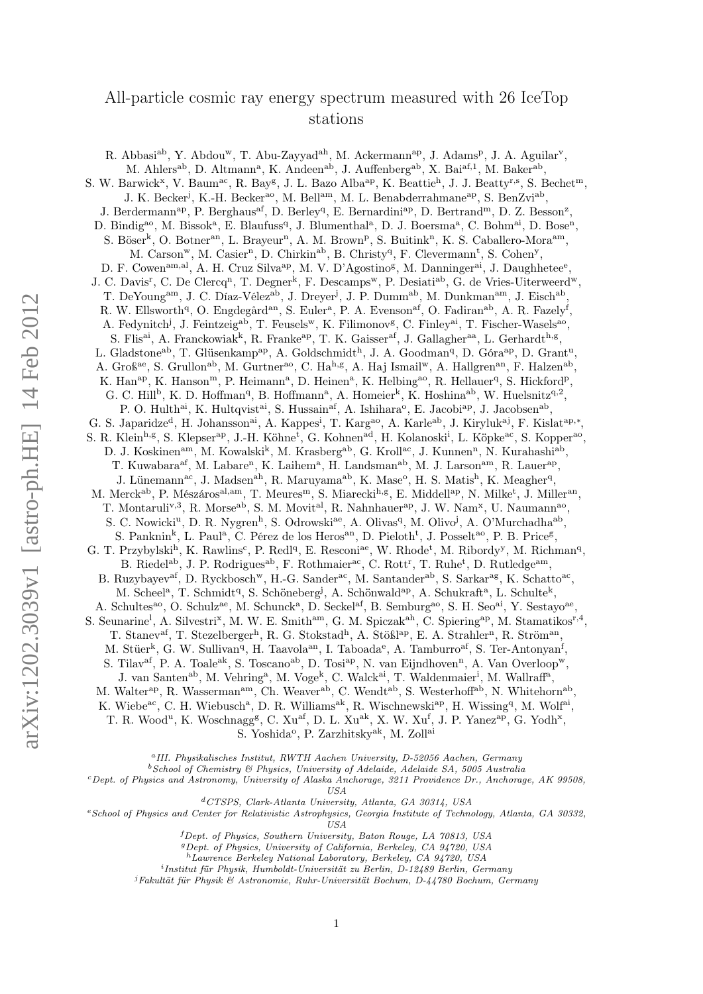# All-particle cosmic ray energy spectrum measured with 26 IceTop stations

R. Abbasi<sup>ab</sup>, Y. Abdou<sup>w</sup>, T. Abu-Zayyad<sup>ah</sup>, M. Ackermann<sup>ap</sup>, J. Adams<sup>p</sup>, J. A. Aguilar<sup>v</sup>, M. Ahlers<sup>ab</sup>, D. Altmann<sup>a</sup>, K. Andeen<sup>ab</sup>, J. Auffenberg<sup>ab</sup>, X. Bai<sup>af,1</sup>, M. Baker<sup>ab</sup>, S. W. Barwick<sup>x</sup>, V. Baum<sup>ac</sup>, R. Bay<sup>g</sup>, J. L. Bazo Alba<sup>ap</sup>, K. Beattie<sup>h</sup>, J. J. Beatty<sup>r,s</sup>, S. Bechet<sup>m</sup>, J. K. Becker<sup>j</sup>, K.-H. Becker<sup>ao</sup>, M. Bell<sup>am</sup>, M. L. Benabderrahmane<sup>ap</sup>, S. BenZvi<sup>ab</sup>, J. Berdermann<sup>ap</sup>, P. Berghaus<sup>af</sup>, D. Berley<sup>q</sup>, E. Bernardini<sup>ap</sup>, D. Bertrand<sup>m</sup>, D. Z. Besson<sup>z</sup>, D. Bindig<sup>ao</sup>, M. Bissok<sup>a</sup>, E. Blaufuss<sup>q</sup>, J. Blumenthal<sup>a</sup>, D. J. Boersma<sup>a</sup>, C. Bohm<sup>ai</sup>, D. Bose<sup>n</sup>, S. Böser<sup>k</sup>, O. Botner<sup>an</sup>, L. Brayeur<sup>n</sup>, A. M. Brown<sup>p</sup>, S. Buitink<sup>n</sup>, K. S. Caballero-Mora<sup>am</sup>, M. Carson<sup>w</sup>, M. Casier<sup>n</sup>, D. Chirkin<sup>ab</sup>, B. Christy<sup>q</sup>, F. Clevermann<sup>t</sup>, S. Cohen<sup>y</sup>, D. F. Cowen<sup>am,al</sup>, A. H. Cruz Silva<sup>ap</sup>, M. V. D'Agostino<sup>g</sup>, M. Danninger<sup>ai</sup>, J. Daughhetee<sup>e</sup>, J. C. Davis<sup>r</sup>, C. De Clercq<sup>n</sup>, T. Degner<sup>k</sup>, F. Descamps<sup>w</sup>, P. Desiati<sup>ab</sup>, G. de Vries-Uiterweerd<sup>w</sup>, T. DeYoung<sup>am</sup>, J. C. Díaz-Vélez<sup>ab</sup>, J. Dreyer<sup>j</sup>, J. P. Dumm<sup>ab</sup>, M. Dunkman<sup>am</sup>, J. Eisch<sup>ab</sup>, R. W. Ellsworth<sup>q</sup>, O. Engdegård<sup>an</sup>, S. Euler<sup>a</sup>, P. A. Evenson<sup>af</sup>, O. Fadiran<sup>ab</sup>, A. R. Fazely<sup>f</sup>, A. Fedynitch<sup>j</sup>, J. Feintzeig<sup>ab</sup>, T. Feusels<sup>w</sup>, K. Filimonov<sup>g</sup>, C. Finley<sup>ai</sup>, T. Fischer-Wasels<sup>ao</sup>, S. Flis<sup>ai</sup>, A. Franckowiak<sup>k</sup>, R. Franke<sup>ap</sup>, T. K. Gaisser<sup>af</sup>, J. Gallagher<sup>aa</sup>, L. Gerhardt<sup>h,g</sup>, L. Gladstone<sup>ab</sup>, T. Glüsenkamp<sup>ap</sup>, A. Goldschmidt<sup>h</sup>, J. A. Goodman<sup>q</sup>, D. Góra<sup>ap</sup>, D. Grant<sup>u</sup>, A. Groß<sup>ae</sup>, S. Grullon<sup>ab</sup>, M. Gurtner<sup>ao</sup>, C. Ha<sup>h,g</sup>, A. Haj Ismail<sup>w</sup>, A. Hallgren<sup>an</sup>, F. Halzen<sup>ab</sup>, K. Han<sup>ap</sup>, K. Hanson<sup>m</sup>, P. Heimann<sup>a</sup>, D. Heinen<sup>a</sup>, K. Helbing<sup>ao</sup>, R. Hellauer<sup>q</sup>, S. Hickford<sup>p</sup>, G. C. Hill<sup>b</sup>, K. D. Hoffman<sup>q</sup>, B. Hoffmann<sup>a</sup>, A. Homeier<sup>k</sup>, K. Hoshina<sup>ab</sup>, W. Huelsnitz<sup>q,2</sup>, P. O. Hulth<sup>ai</sup>, K. Hultqvist<sup>ai</sup>, S. Hussain<sup>af</sup>, A. Ishihara<sup>o</sup>, E. Jacobi<sup>ap</sup>, J. Jacobsen<sup>ab</sup>, G. S. Japaridze<sup>d</sup>, H. Johansson<sup>ai</sup>, A. Kappes<sup>i</sup>, T. Karg<sup>ao</sup>, A. Karle<sup>ab</sup>, J. Kiryluk<sup>aj</sup>, F. Kislat<sup>ap,\*</sup>, S. R. Klein<sup>h,g</sup>, S. Klepser<sup>ap</sup>, J.-H. Köhne<sup>t</sup>, G. Kohnen<sup>ad</sup>, H. Kolanoski<sup>i</sup>, L. Köpke<sup>ac</sup>, S. Kopper<sup>ao</sup>, D. J. Koskinen<sup>am</sup>, M. Kowalski<sup>k</sup>, M. Krasberg<sup>ab</sup>, G. Kroll<sup>ac</sup>, J. Kunnen<sup>n</sup>, N. Kurahashi<sup>ab</sup>, T. Kuwabara<sup>af</sup>, M. Labare<sup>n</sup>, K. Laihem<sup>a</sup>, H. Landsman<sup>ab</sup>, M. J. Larson<sup>am</sup>, R. Lauer<sup>ap</sup>, J. Lünemann<sup>ac</sup>, J. Madsen<sup>ah</sup>, R. Maruyama<sup>ab</sup>, K. Mase<sup>o</sup>, H. S. Matis<sup>h</sup>, K. Meagher<sup>q</sup>, M. Merck<sup>ab</sup>, P. Mészáros<sup>al,am</sup>, T. Meures<sup>m</sup>, S. Miarecki<sup>h,g</sup>, E. Middell<sup>ap</sup>, N. Milke<sup>t</sup>, J. Miller<sup>an</sup>, T. Montaruli<sup>v,3</sup>, R. Morse<sup>ab</sup>, S. M. Movit<sup>al</sup>, R. Nahnhauer<sup>ap</sup>, J. W. Nam<sup>x</sup>, U. Naumann<sup>ao</sup>, S. C. Nowicki<sup>u</sup>, D. R. Nygren<sup>h</sup>, S. Odrowski<sup>ae</sup>, A. Olivas<sup>q</sup>, M. Olivo<sup>j</sup>, A. O'Murchadha<sup>ab</sup>, S. Panknin<sup>k</sup>, L. Paul<sup>a</sup>, C. Pérez de los Heros<sup>an</sup>, D. Pieloth<sup>t</sup>, J. Posselt<sup>ao</sup>, P. B. Price<sup>g</sup>, G. T. Przybylski<sup>h</sup>, K. Rawlins<sup>c</sup>, P. Redl<sup>q</sup>, E. Resconi<sup>ae</sup>, W. Rhode<sup>t</sup>, M. Ribordy<sup>y</sup>, M. Richman<sup>q</sup>, B. Riedel<sup>ab</sup>, J. P. Rodrigues<sup>ab</sup>, F. Rothmaier<sup>ac</sup>, C. Rott<sup>r</sup>, T. Ruhe<sup>t</sup>, D. Rutledge<sup>am</sup>, B. Ruzybayev<sup>af</sup>, D. Ryckbosch<sup>w</sup>, H.-G. Sander<sup>ac</sup>, M. Santander<sup>ab</sup>, S. Sarkar<sup>ag</sup>, K. Schatto<sup>ac</sup>, M. Scheel<sup>a</sup>, T. Schmidt<sup>q</sup>, S. Schöneberg<sup>j</sup>, A. Schönwald<sup>ap</sup>, A. Schukraft<sup>a</sup>, L. Schulte<sup>k</sup>, A. Schultes<sup>ao</sup>, O. Schulz<sup>ae</sup>, M. Schunck<sup>a</sup>, D. Seckel<sup>af</sup>, B. Semburg<sup>ao</sup>, S. H. Seo<sup>ai</sup>, Y. Sestayo<sup>ae</sup>, S. Seunarine<sup>1</sup>, A. Silvestri<sup>x</sup>, M. W. E. Smith<sup>am</sup>, G. M. Spiczak<sup>ah</sup>, C. Spiering<sup>ap</sup>, M. Stamatikos<sup>r,4</sup>, T. Stanev<sup>af</sup>, T. Stezelberger<sup>h</sup>, R. G. Stokstad<sup>h</sup>, A. Stößl<sup>ap</sup>, E. A. Strahler<sup>n</sup>, R. Ström<sup>an</sup>, M. Stüer<sup>k</sup>, G. W. Sullivan<sup>q</sup>, H. Taavola<sup>an</sup>, I. Taboada<sup>e</sup>, A. Tamburro<sup>af</sup>, S. Ter-Antonyan<sup>f</sup>, S. Tilav<sup>af</sup>, P. A. Toale<sup>ak</sup>, S. Toscano<sup>ab</sup>, D. Tosi<sup>ap</sup>, N. van Eijndhoven<sup>n</sup>, A. Van Overloop<sup>w</sup>, J. van Santen<sup>ab</sup>, M. Vehring<sup>a</sup>, M. Voge<sup>k</sup>, C. Walck<sup>ai</sup>, T. Waldenmaier<sup>i</sup>, M. Wallraff<sup>a</sup>, M. Walter<sup>ap</sup>, R. Wasserman<sup>am</sup>, Ch. Weaver<sup>ab</sup>, C. Wendt<sup>ab</sup>, S. Westerhoff<sup>ab</sup>, N. Whitehorn<sup>ab</sup>, K. Wiebe<sup>ac</sup>, C. H. Wiebusch<sup>a</sup>, D. R. Williams<sup>ak</sup>, R. Wischnewski<sup>ap</sup>, H. Wissing<sup>q</sup>, M. Wolf<sup>ai</sup>, T. R. Wood<sup>u</sup>, K. Woschnagg<sup>g</sup>, C. Xu<sup>af</sup>, D. L. Xu<sup>ak</sup>, X. W. Xu<sup>f</sup>, J. P. Yanez<sup>ap</sup>, G. Yodh<sup>x</sup>,

S. Yoshida<sup>o</sup>, P. Zarzhitsky<sup>ak</sup>, M. Zoll<sup>ai</sup>

<sup>a</sup>III. Physikalisches Institut, RWTH Aachen University, D-52056 Aachen, Germany

 $^{b}$  School of Chemistry  $\&$  Physics, University of Adelaide, Adelaide SA, 5005 Australia

<sup>c</sup>Dept. of Physics and Astronomy, University of Alaska Anchorage, 3211 Providence Dr., Anchorage, AK 99508, USA

<sup>d</sup>CTSPS, Clark-Atlanta University, Atlanta, GA 30314, USA

<sup>e</sup>School of Physics and Center for Relativistic Astrophysics, Georgia Institute of Technology, Atlanta, GA 30332, USA

<sup>f</sup>Dept. of Physics, Southern University, Baton Rouge, LA 70813, USA

<sup>g</sup>Dept. of Physics, University of California, Berkeley, CA 94720, USA

<sup>h</sup>Lawrence Berkeley National Laboratory, Berkeley, CA 94720, USA

i Institut für Physik, Humboldt-Universität zu Berlin, D-12489 Berlin, Germany

<sup>j</sup>Fakultät für Physik & Astronomie, Ruhr-Universität Bochum, D-44780 Bochum, Germany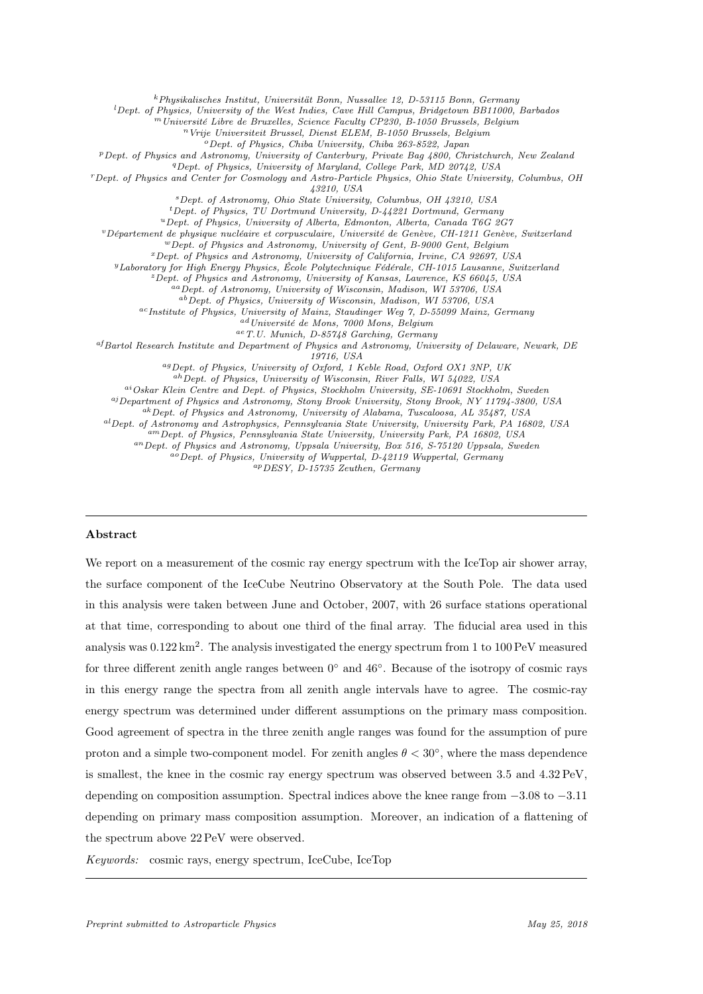<sup>k</sup>Physikalisches Institut, Universität Bonn, Nussallee 12, D-53115 Bonn, Germany

 ${}^{l}$ Dept. of Physics, University of the West Indies, Cave Hill Campus, Bridgetown BB11000, Barbados

<sup>m</sup>Université Libre de Bruxelles, Science Faculty CP230, B-1050 Brussels, Belgium

<sup>n</sup>Vrije Universiteit Brussel, Dienst ELEM, B-1050 Brussels, Belgium

<sup>o</sup>Dept. of Physics, Chiba University, Chiba 263-8522, Japan

<sup>p</sup>Dept. of Physics and Astronomy, University of Canterbury, Private Bag 4800, Christchurch, New Zealand

<sup>q</sup>Dept. of Physics, University of Maryland, College Park, MD 20742, USA

<sup>r</sup>Dept. of Physics and Center for Cosmology and Astro-Particle Physics, Ohio State University, Columbus, OH 43210, USA

<sup>s</sup>Dept. of Astronomy, Ohio State University, Columbus, OH 43210, USA

 $t$ Dept. of Physics, TU Dortmund University, D-44221 Dortmund, Germany <sup>u</sup>Dept. of Physics, University of Alberta, Edmonton, Alberta, Canada T6G 2G7

<sup>v</sup>Département de physique nucléaire et corpusculaire, Université de Genève, CH-1211 Genève, Switzerland <sup>w</sup>Dept. of Physics and Astronomy, University of Gent, B-9000 Gent, Belgium

<sup>x</sup>Dept. of Physics and Astronomy, University of California, Irvine, CA 92697, USA

<sup>y</sup>Laboratory for High Energy Physics, École Polytechnique Fédérale, CH-1015 Lausanne, Switzerland

<sup>z</sup>Dept. of Physics and Astronomy, University of Kansas, Lawrence, KS 66045, USA

aa Dept. of Astronomy, University of Wisconsin, Madison, WI 53706, USA

abDept. of Physics, University of Wisconsin, Madison, WI 53706, USA

acInstitute of Physics, University of Mainz, Staudinger Weg 7, D-55099 Mainz, Germany

 $\emph{ad Université de Mons},$  7000 Mons, Belgium

aeT.U. Munich, D-85748 Garching, Germany

afBartol Research Institute and Department of Physics and Astronomy, University of Delaware, Newark, DE

19716, USA

agDept. of Physics, University of Oxford, 1 Keble Road, Oxford OX1 3NP, UK

ahDept. of Physics, University of Wisconsin, River Falls, WI 54022, USA

ai Oskar Klein Centre and Dept. of Physics, Stockholm University, SE-10691 Stockholm, Sweden

 $a_j$ Department of Physics and Astronomy, Stony Brook University, Stony Brook, NY 11794-3800, USA

akDept. of Physics and Astronomy, University of Alabama, Tuscaloosa, AL 35487, USA

alDept. of Astronomy and Astrophysics, Pennsylvania State University, University Park, PA 16802, USA

amDept. of Physics, Pennsylvania State University, University Park, PA 16802, USA

anDept. of Physics and Astronomy, Uppsala University, Box 516, S-75120 Uppsala, Sweden

aoDept. of Physics, University of Wuppertal, D-42119 Wuppertal, Germany

apDESY, D-15735 Zeuthen, Germany

# Abstract

We report on a measurement of the cosmic ray energy spectrum with the IceTop air shower array, the surface component of the IceCube Neutrino Observatory at the South Pole. The data used in this analysis were taken between June and October, 2007, with 26 surface stations operational at that time, corresponding to about one third of the final array. The fiducial area used in this analysis was  $0.122 \text{ km}^2$ . The analysis investigated the energy spectrum from 1 to 100 PeV measured for three different zenith angle ranges between  $0^{\circ}$  and  $46^{\circ}$ . Because of the isotropy of cosmic rays in this energy range the spectra from all zenith angle intervals have to agree. The cosmic-ray energy spectrum was determined under different assumptions on the primary mass composition. Good agreement of spectra in the three zenith angle ranges was found for the assumption of pure proton and a simple two-component model. For zenith angles  $\theta < 30^{\circ}$ , where the mass dependence is smallest, the knee in the cosmic ray energy spectrum was observed between 3.5 and 4.32 PeV, depending on composition assumption. Spectral indices above the knee range from −3.08 to −3.11 depending on primary mass composition assumption. Moreover, an indication of a flattening of the spectrum above 22 PeV were observed.

Keywords: cosmic rays, energy spectrum, IceCube, IceTop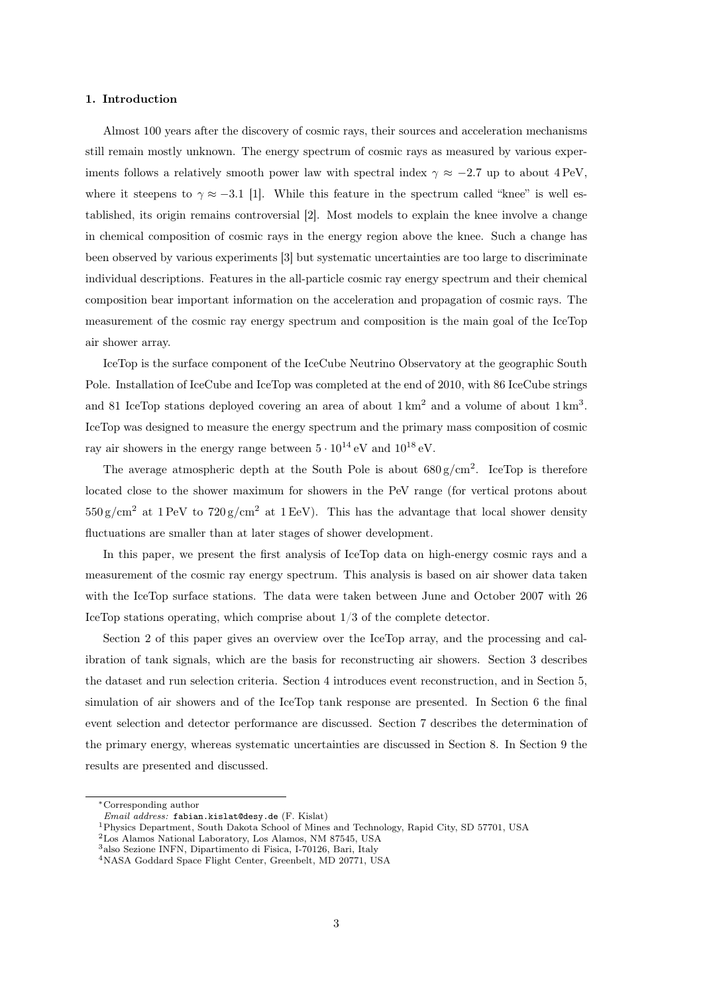## 1. Introduction

Almost 100 years after the discovery of cosmic rays, their sources and acceleration mechanisms still remain mostly unknown. The energy spectrum of cosmic rays as measured by various experiments follows a relatively smooth power law with spectral index  $\gamma \approx -2.7$  up to about 4 PeV, where it steepens to  $\gamma \approx -3.1$  [1]. While this feature in the spectrum called "knee" is well established, its origin remains controversial [2]. Most models to explain the knee involve a change in chemical composition of cosmic rays in the energy region above the knee. Such a change has been observed by various experiments [3] but systematic uncertainties are too large to discriminate individual descriptions. Features in the all-particle cosmic ray energy spectrum and their chemical composition bear important information on the acceleration and propagation of cosmic rays. The measurement of the cosmic ray energy spectrum and composition is the main goal of the IceTop air shower array.

IceTop is the surface component of the IceCube Neutrino Observatory at the geographic South Pole. Installation of IceCube and IceTop was completed at the end of 2010, with 86 IceCube strings and 81 IceTop stations deployed covering an area of about  $1 \text{ km}^2$  and a volume of about  $1 \text{ km}^3$ . IceTop was designed to measure the energy spectrum and the primary mass composition of cosmic ray air showers in the energy range between  $5 \cdot 10^{14}$  eV and  $10^{18}$  eV.

The average atmospheric depth at the South Pole is about  $680 \text{ g/cm}^2$ . IceTop is therefore located close to the shower maximum for showers in the PeV range (for vertical protons about  $550 \text{ g/cm}^2$  at  $1 \text{ PeV}$  to  $720 \text{ g/cm}^2$  at  $1 \text{ EeV}$ ). This has the advantage that local shower density fluctuations are smaller than at later stages of shower development.

In this paper, we present the first analysis of IceTop data on high-energy cosmic rays and a measurement of the cosmic ray energy spectrum. This analysis is based on air shower data taken with the IceTop surface stations. The data were taken between June and October 2007 with 26 IceTop stations operating, which comprise about 1/3 of the complete detector.

Section 2 of this paper gives an overview over the IceTop array, and the processing and calibration of tank signals, which are the basis for reconstructing air showers. Section 3 describes the dataset and run selection criteria. Section 4 introduces event reconstruction, and in Section 5, simulation of air showers and of the IceTop tank response are presented. In Section 6 the final event selection and detector performance are discussed. Section 7 describes the determination of the primary energy, whereas systematic uncertainties are discussed in Section 8. In Section 9 the results are presented and discussed.

<sup>2</sup>Los Alamos National Laboratory, Los Alamos, NM 87545, USA

<sup>∗</sup>Corresponding author

Email address: fabian.kislat@desy.de (F. Kislat)

<sup>1</sup>Physics Department, South Dakota School of Mines and Technology, Rapid City, SD 57701, USA

<sup>3</sup>also Sezione INFN, Dipartimento di Fisica, I-70126, Bari, Italy

<sup>4</sup>NASA Goddard Space Flight Center, Greenbelt, MD 20771, USA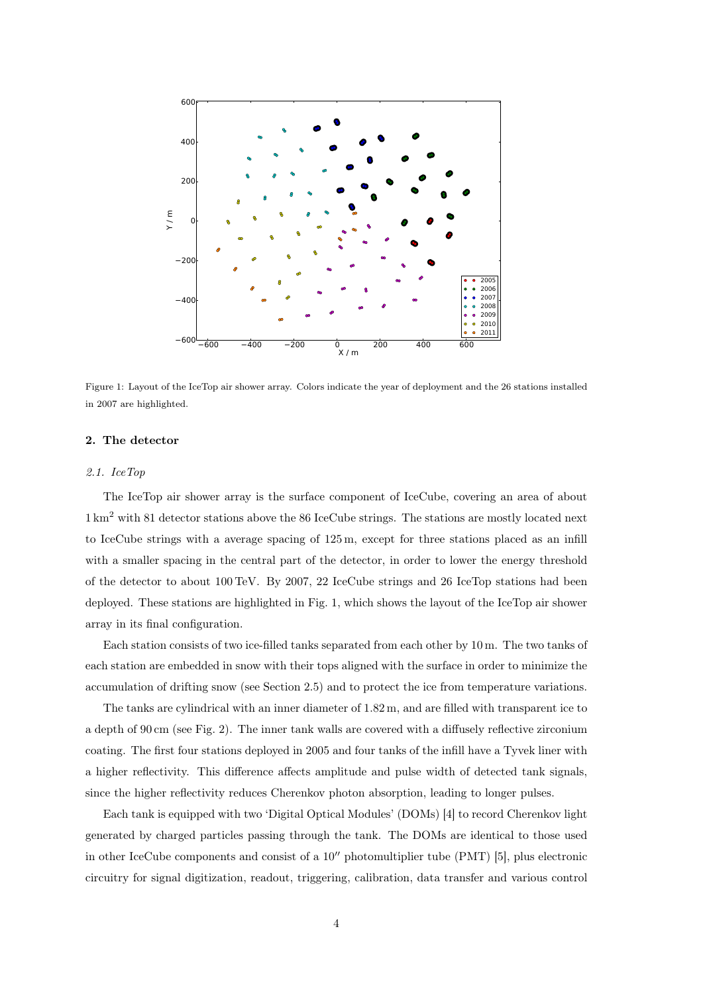

Figure 1: Layout of the IceTop air shower array. Colors indicate the year of deployment and the 26 stations installed in 2007 are highlighted.

# 2. The detector

## 2.1. IceTop

The IceTop air shower array is the surface component of IceCube, covering an area of about 1 km<sup>2</sup> with 81 detector stations above the 86 IceCube strings. The stations are mostly located next to IceCube strings with a average spacing of 125 m, except for three stations placed as an infill with a smaller spacing in the central part of the detector, in order to lower the energy threshold of the detector to about 100 TeV. By 2007, 22 IceCube strings and 26 IceTop stations had been deployed. These stations are highlighted in Fig. 1, which shows the layout of the IceTop air shower array in its final configuration.

Each station consists of two ice-filled tanks separated from each other by 10 m. The two tanks of each station are embedded in snow with their tops aligned with the surface in order to minimize the accumulation of drifting snow (see Section 2.5) and to protect the ice from temperature variations.

The tanks are cylindrical with an inner diameter of 1.82 m, and are filled with transparent ice to a depth of 90 cm (see Fig. 2). The inner tank walls are covered with a diffusely reflective zirconium coating. The first four stations deployed in 2005 and four tanks of the infill have a Tyvek liner with a higher reflectivity. This difference affects amplitude and pulse width of detected tank signals, since the higher reflectivity reduces Cherenkov photon absorption, leading to longer pulses.

Each tank is equipped with two 'Digital Optical Modules' (DOMs) [4] to record Cherenkov light generated by charged particles passing through the tank. The DOMs are identical to those used in other IceCube components and consist of a 10′′ photomultiplier tube (PMT) [5], plus electronic circuitry for signal digitization, readout, triggering, calibration, data transfer and various control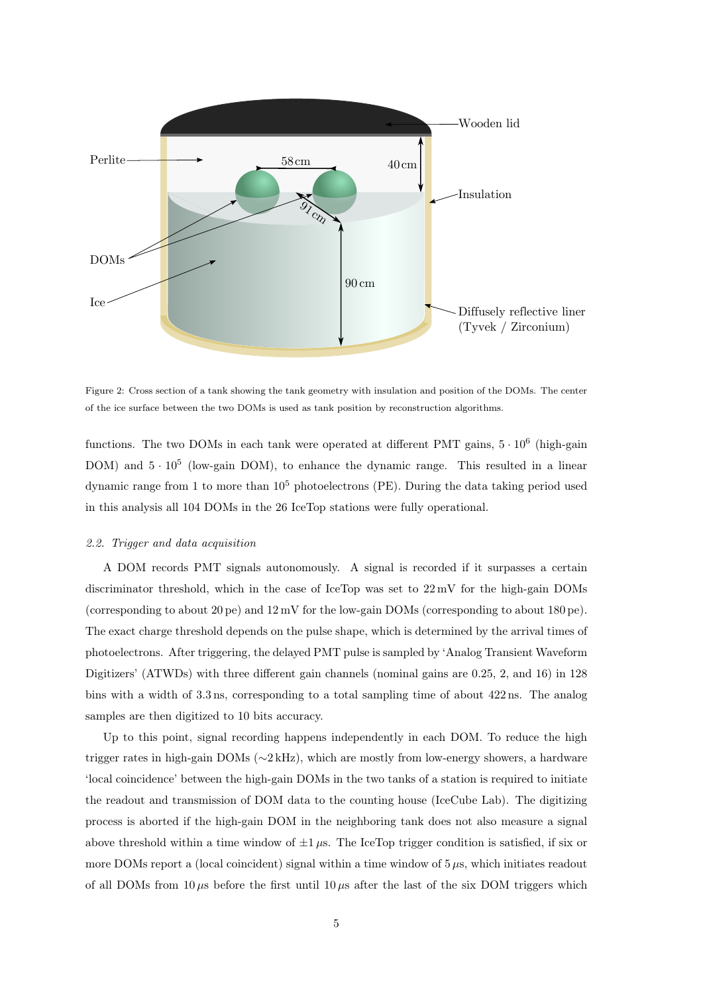

Figure 2: Cross section of a tank showing the tank geometry with insulation and position of the DOMs. The center of the ice surface between the two DOMs is used as tank position by reconstruction algorithms.

functions. The two DOMs in each tank were operated at different PMT gains,  $5 \cdot 10^6$  (high-gain DOM) and  $5 \cdot 10^5$  (low-gain DOM), to enhance the dynamic range. This resulted in a linear dynamic range from 1 to more than  $10^5$  photoelectrons (PE). During the data taking period used in this analysis all 104 DOMs in the 26 IceTop stations were fully operational.

# 2.2. Trigger and data acquisition

A DOM records PMT signals autonomously. A signal is recorded if it surpasses a certain discriminator threshold, which in the case of IceTop was set to 22 mV for the high-gain DOMs (corresponding to about 20 pe) and 12 mV for the low-gain DOMs (corresponding to about 180 pe). The exact charge threshold depends on the pulse shape, which is determined by the arrival times of photoelectrons. After triggering, the delayed PMT pulse is sampled by 'Analog Transient Waveform Digitizers' (ATWDs) with three different gain channels (nominal gains are 0.25, 2, and 16) in 128 bins with a width of 3.3 ns, corresponding to a total sampling time of about 422 ns. The analog samples are then digitized to 10 bits accuracy.

Up to this point, signal recording happens independently in each DOM. To reduce the high trigger rates in high-gain DOMs (∼2 kHz), which are mostly from low-energy showers, a hardware 'local coincidence' between the high-gain DOMs in the two tanks of a station is required to initiate the readout and transmission of DOM data to the counting house (IceCube Lab). The digitizing process is aborted if the high-gain DOM in the neighboring tank does not also measure a signal above threshold within a time window of  $\pm 1 \mu$ s. The IceTop trigger condition is satisfied, if six or more DOMs report a (local coincident) signal within a time window of  $5 \mu s$ , which initiates readout of all DOMs from 10  $\mu$ s before the first until 10  $\mu$ s after the last of the six DOM triggers which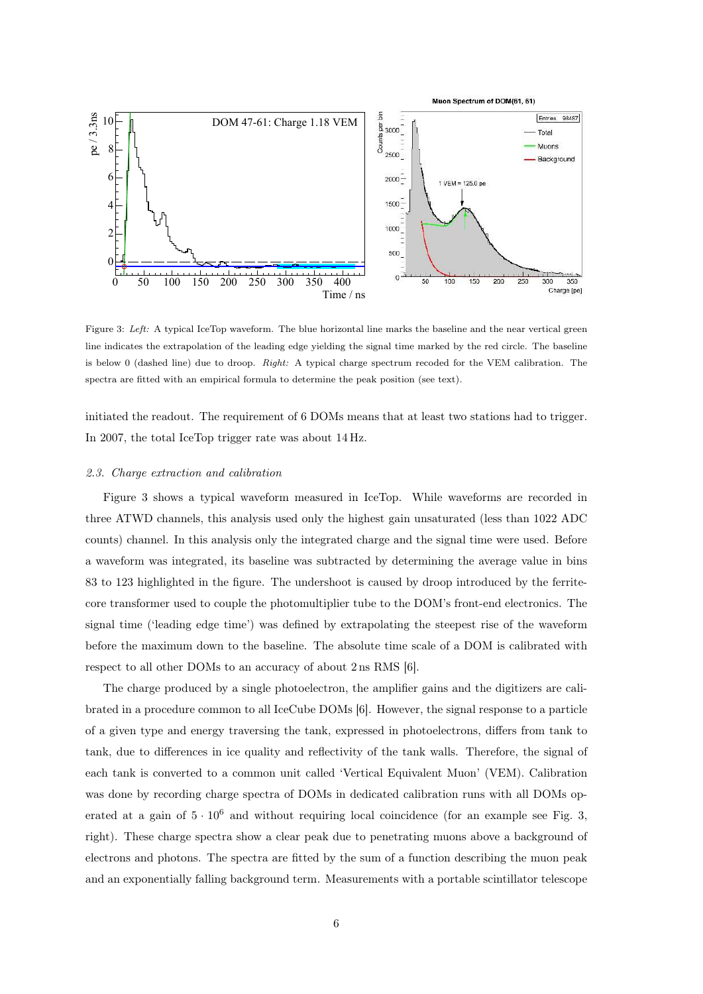

Figure 3: Left: A typical IceTop waveform. The blue horizontal line marks the baseline and the near vertical green line indicates the extrapolation of the leading edge yielding the signal time marked by the red circle. The baseline is below 0 (dashed line) due to droop. Right: A typical charge spectrum recoded for the VEM calibration. The spectra are fitted with an empirical formula to determine the peak position (see text).

initiated the readout. The requirement of 6 DOMs means that at least two stations had to trigger. In 2007, the total IceTop trigger rate was about 14 Hz.

## 2.3. Charge extraction and calibration

Figure 3 shows a typical waveform measured in IceTop. While waveforms are recorded in three ATWD channels, this analysis used only the highest gain unsaturated (less than 1022 ADC counts) channel. In this analysis only the integrated charge and the signal time were used. Before a waveform was integrated, its baseline was subtracted by determining the average value in bins 83 to 123 highlighted in the figure. The undershoot is caused by droop introduced by the ferritecore transformer used to couple the photomultiplier tube to the DOM's front-end electronics. The signal time ('leading edge time') was defined by extrapolating the steepest rise of the waveform before the maximum down to the baseline. The absolute time scale of a DOM is calibrated with respect to all other DOMs to an accuracy of about 2 ns RMS [6].

The charge produced by a single photoelectron, the amplifier gains and the digitizers are calibrated in a procedure common to all IceCube DOMs [6]. However, the signal response to a particle of a given type and energy traversing the tank, expressed in photoelectrons, differs from tank to tank, due to differences in ice quality and reflectivity of the tank walls. Therefore, the signal of each tank is converted to a common unit called 'Vertical Equivalent Muon' (VEM). Calibration was done by recording charge spectra of DOMs in dedicated calibration runs with all DOMs operated at a gain of  $5 \cdot 10^6$  and without requiring local coincidence (for an example see Fig. 3, right). These charge spectra show a clear peak due to penetrating muons above a background of electrons and photons. The spectra are fitted by the sum of a function describing the muon peak and an exponentially falling background term. Measurements with a portable scintillator telescope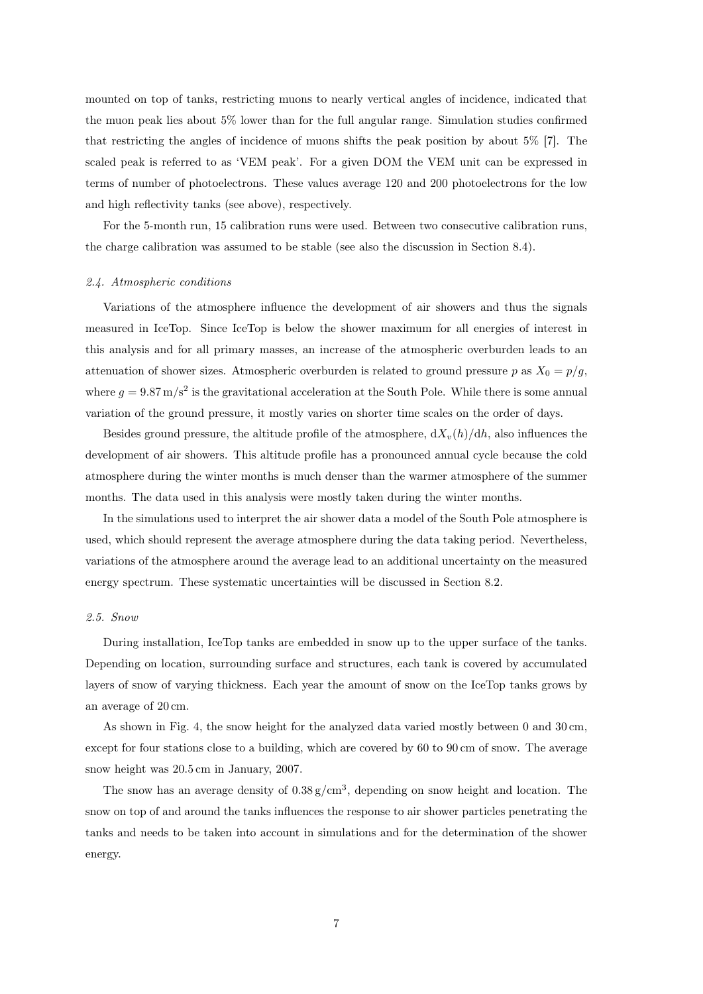mounted on top of tanks, restricting muons to nearly vertical angles of incidence, indicated that the muon peak lies about 5% lower than for the full angular range. Simulation studies confirmed that restricting the angles of incidence of muons shifts the peak position by about 5% [7]. The scaled peak is referred to as 'VEM peak'. For a given DOM the VEM unit can be expressed in terms of number of photoelectrons. These values average 120 and 200 photoelectrons for the low and high reflectivity tanks (see above), respectively.

For the 5-month run, 15 calibration runs were used. Between two consecutive calibration runs, the charge calibration was assumed to be stable (see also the discussion in Section 8.4).

## 2.4. Atmospheric conditions

Variations of the atmosphere influence the development of air showers and thus the signals measured in IceTop. Since IceTop is below the shower maximum for all energies of interest in this analysis and for all primary masses, an increase of the atmospheric overburden leads to an attenuation of shower sizes. Atmospheric overburden is related to ground pressure p as  $X_0 = p/g$ , where  $g = 9.87 \,\mathrm{m/s^2}$  is the gravitational acceleration at the South Pole. While there is some annual variation of the ground pressure, it mostly varies on shorter time scales on the order of days.

Besides ground pressure, the altitude profile of the atmosphere,  $\frac{dX_v(h)}{dh}$ , also influences the development of air showers. This altitude profile has a pronounced annual cycle because the cold atmosphere during the winter months is much denser than the warmer atmosphere of the summer months. The data used in this analysis were mostly taken during the winter months.

In the simulations used to interpret the air shower data a model of the South Pole atmosphere is used, which should represent the average atmosphere during the data taking period. Nevertheless, variations of the atmosphere around the average lead to an additional uncertainty on the measured energy spectrum. These systematic uncertainties will be discussed in Section 8.2.

# 2.5. Snow

During installation, IceTop tanks are embedded in snow up to the upper surface of the tanks. Depending on location, surrounding surface and structures, each tank is covered by accumulated layers of snow of varying thickness. Each year the amount of snow on the IceTop tanks grows by an average of 20 cm.

As shown in Fig. 4, the snow height for the analyzed data varied mostly between 0 and 30 cm, except for four stations close to a building, which are covered by 60 to 90 cm of snow. The average snow height was 20.5 cm in January, 2007.

The snow has an average density of  $0.38 \text{ g/cm}^3$ , depending on snow height and location. The snow on top of and around the tanks influences the response to air shower particles penetrating the tanks and needs to be taken into account in simulations and for the determination of the shower energy.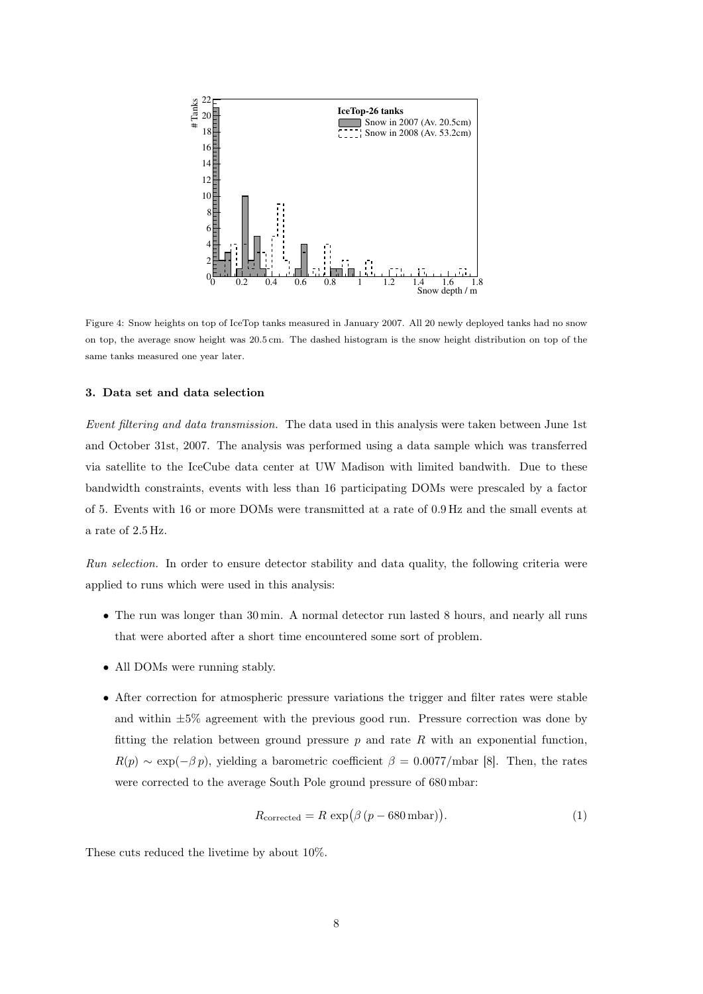

Figure 4: Snow heights on top of IceTop tanks measured in January 2007. All 20 newly deployed tanks had no snow on top, the average snow height was 20.5 cm. The dashed histogram is the snow height distribution on top of the same tanks measured one year later.

# 3. Data set and data selection

Event filtering and data transmission. The data used in this analysis were taken between June 1st and October 31st, 2007. The analysis was performed using a data sample which was transferred via satellite to the IceCube data center at UW Madison with limited bandwith. Due to these bandwidth constraints, events with less than 16 participating DOMs were prescaled by a factor of 5. Events with 16 or more DOMs were transmitted at a rate of 0.9 Hz and the small events at a rate of 2.5 Hz.

Run selection. In order to ensure detector stability and data quality, the following criteria were applied to runs which were used in this analysis:

- The run was longer than 30 min. A normal detector run lasted 8 hours, and nearly all runs that were aborted after a short time encountered some sort of problem.
- All DOMs were running stably.
- After correction for atmospheric pressure variations the trigger and filter rates were stable and within  $\pm 5\%$  agreement with the previous good run. Pressure correction was done by fitting the relation between ground pressure  $p$  and rate  $R$  with an exponential function,  $R(p) \sim \exp(-\beta p)$ , yielding a barometric coefficient  $\beta = 0.0077/\text{mbar}$  [8]. Then, the rates were corrected to the average South Pole ground pressure of 680 mbar:

$$
R_{\text{corrected}} = R \exp(\beta (p - 680 \,\text{mbar})). \tag{1}
$$

These cuts reduced the livetime by about 10%.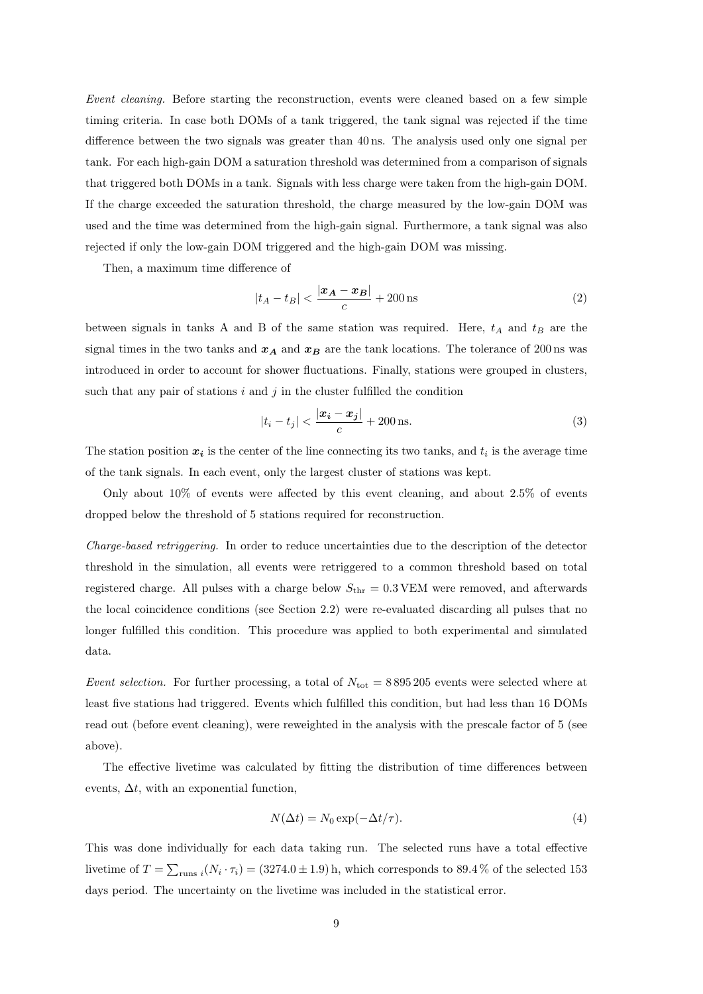Event cleaning. Before starting the reconstruction, events were cleaned based on a few simple timing criteria. In case both DOMs of a tank triggered, the tank signal was rejected if the time difference between the two signals was greater than 40 ns. The analysis used only one signal per tank. For each high-gain DOM a saturation threshold was determined from a comparison of signals that triggered both DOMs in a tank. Signals with less charge were taken from the high-gain DOM. If the charge exceeded the saturation threshold, the charge measured by the low-gain DOM was used and the time was determined from the high-gain signal. Furthermore, a tank signal was also rejected if only the low-gain DOM triggered and the high-gain DOM was missing.

Then, a maximum time difference of

$$
|t_A - t_B| < \frac{|\mathbf{x}_A - \mathbf{x}_B|}{c} + 200 \,\text{ns} \tag{2}
$$

between signals in tanks A and B of the same station was required. Here,  $t_A$  and  $t_B$  are the signal times in the two tanks and  $x_A$  and  $x_B$  are the tank locations. The tolerance of 200 ns was introduced in order to account for shower fluctuations. Finally, stations were grouped in clusters, such that any pair of stations  $i$  and  $j$  in the cluster fulfilled the condition

$$
|t_i - t_j| < \frac{|x_i - x_j|}{c} + 200 \,\text{ns.} \tag{3}
$$

The station position  $x_i$  is the center of the line connecting its two tanks, and  $t_i$  is the average time of the tank signals. In each event, only the largest cluster of stations was kept.

Only about 10% of events were affected by this event cleaning, and about 2.5% of events dropped below the threshold of 5 stations required for reconstruction.

Charge-based retriggering. In order to reduce uncertainties due to the description of the detector threshold in the simulation, all events were retriggered to a common threshold based on total registered charge. All pulses with a charge below  $S_{\text{thr}} = 0.3$  VEM were removed, and afterwards the local coincidence conditions (see Section 2.2) were re-evaluated discarding all pulses that no longer fulfilled this condition. This procedure was applied to both experimental and simulated data.

Event selection. For further processing, a total of  $N_{\text{tot}} = 8895\,205$  events were selected where at least five stations had triggered. Events which fulfilled this condition, but had less than 16 DOMs read out (before event cleaning), were reweighted in the analysis with the prescale factor of 5 (see above).

The effective livetime was calculated by fitting the distribution of time differences between events,  $\Delta t$ , with an exponential function,

$$
N(\Delta t) = N_0 \exp(-\Delta t/\tau). \tag{4}
$$

This was done individually for each data taking run. The selected runs have a total effective livetime of  $T = \sum_{\text{runs }i} (N_i \cdot \tau_i) = (3274.0 \pm 1.9)$  h, which corresponds to 89.4% of the selected 153 days period. The uncertainty on the livetime was included in the statistical error.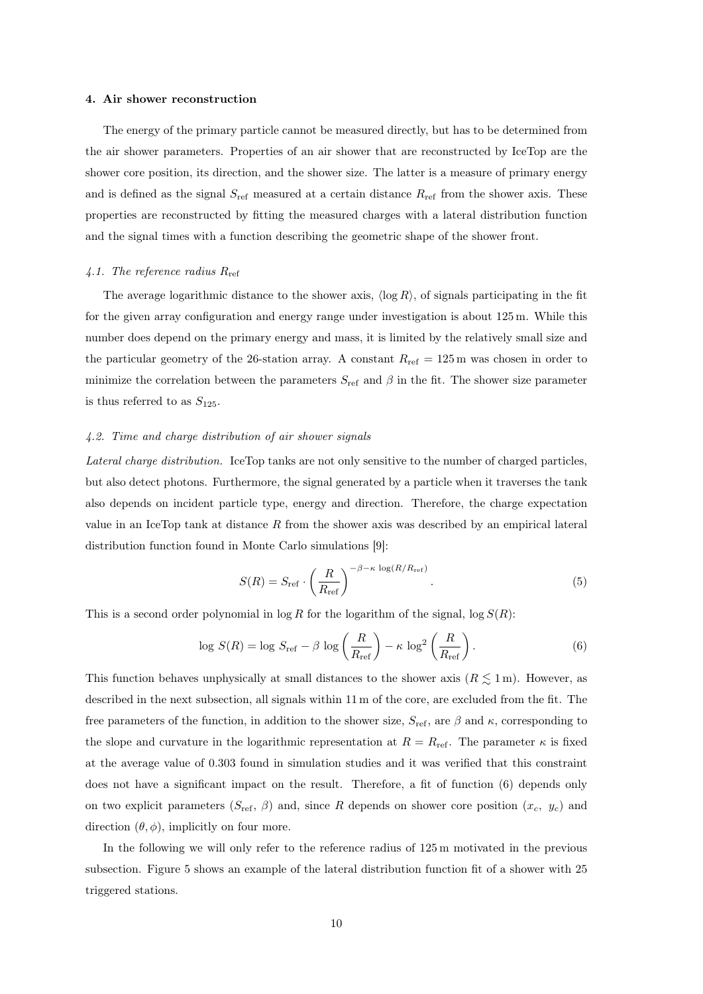## 4. Air shower reconstruction

The energy of the primary particle cannot be measured directly, but has to be determined from the air shower parameters. Properties of an air shower that are reconstructed by IceTop are the shower core position, its direction, and the shower size. The latter is a measure of primary energy and is defined as the signal  $S_{\text{ref}}$  measured at a certain distance  $R_{\text{ref}}$  from the shower axis. These properties are reconstructed by fitting the measured charges with a lateral distribution function and the signal times with a function describing the geometric shape of the shower front.

# 4.1. The reference radius  $R_{\text{ref}}$

The average logarithmic distance to the shower axis,  $\langle \log R \rangle$ , of signals participating in the fit for the given array configuration and energy range under investigation is about 125 m. While this number does depend on the primary energy and mass, it is limited by the relatively small size and the particular geometry of the 26-station array. A constant  $R_{\text{ref}} = 125 \,\text{m}$  was chosen in order to minimize the correlation between the parameters  $S_{\text{ref}}$  and  $\beta$  in the fit. The shower size parameter is thus referred to as  $S_{125}$ .

# 4.2. Time and charge distribution of air shower signals

Lateral charge distribution. IceTop tanks are not only sensitive to the number of charged particles, but also detect photons. Furthermore, the signal generated by a particle when it traverses the tank also depends on incident particle type, energy and direction. Therefore, the charge expectation value in an IceTop tank at distance  $R$  from the shower axis was described by an empirical lateral distribution function found in Monte Carlo simulations [9]:

$$
S(R) = S_{\text{ref}} \cdot \left(\frac{R}{R_{\text{ref}}}\right)^{-\beta - \kappa \log(R/R_{\text{ref}})}.
$$
\n(5)

This is a second order polynomial in  $\log R$  for the logarithm of the signal,  $\log S(R)$ :

$$
\log S(R) = \log S_{\text{ref}} - \beta \log \left( \frac{R}{R_{\text{ref}}} \right) - \kappa \log^2 \left( \frac{R}{R_{\text{ref}}} \right). \tag{6}
$$

This function behaves unphysically at small distances to the shower axis  $(R \leq 1 \,\mathrm{m})$ . However, as described in the next subsection, all signals within 11 m of the core, are excluded from the fit. The free parameters of the function, in addition to the shower size,  $S_{\text{ref}}$ , are  $\beta$  and  $\kappa$ , corresponding to the slope and curvature in the logarithmic representation at  $R = R_{ref}$ . The parameter  $\kappa$  is fixed at the average value of 0.303 found in simulation studies and it was verified that this constraint does not have a significant impact on the result. Therefore, a fit of function (6) depends only on two explicit parameters  $(S_{\text{ref}}, \beta)$  and, since R depends on shower core position  $(x_c, y_c)$  and direction  $(\theta, \phi)$ , implicitly on four more.

In the following we will only refer to the reference radius of 125 m motivated in the previous subsection. Figure 5 shows an example of the lateral distribution function fit of a shower with 25 triggered stations.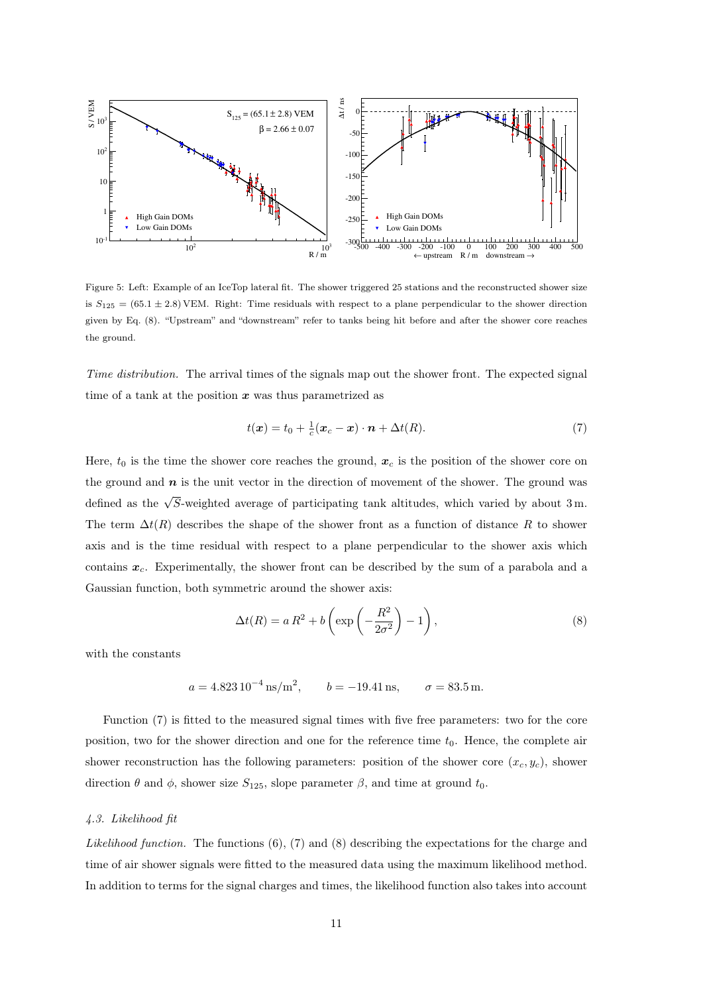

Figure 5: Left: Example of an IceTop lateral fit. The shower triggered 25 stations and the reconstructed shower size is  $S_{125} = (65.1 \pm 2.8)$  VEM. Right: Time residuals with respect to a plane perpendicular to the shower direction given by Eq. (8). "Upstream" and "downstream" refer to tanks being hit before and after the shower core reaches the ground.

Time distribution. The arrival times of the signals map out the shower front. The expected signal time of a tank at the position  $x$  was thus parametrized as

$$
t(\boldsymbol{x}) = t_0 + \frac{1}{c}(\boldsymbol{x}_c - \boldsymbol{x}) \cdot \boldsymbol{n} + \Delta t(R). \tag{7}
$$

Here,  $t_0$  is the time the shower core reaches the ground,  $x_c$  is the position of the shower core on the ground and  $n$  is the unit vector in the direction of movement of the shower. The ground was defined as the  $\sqrt{S}$ -weighted average of participating tank altitudes, which varied by about 3m. The term  $\Delta t(R)$  describes the shape of the shower front as a function of distance R to shower axis and is the time residual with respect to a plane perpendicular to the shower axis which contains  $x_c$ . Experimentally, the shower front can be described by the sum of a parabola and a Gaussian function, both symmetric around the shower axis:

$$
\Delta t(R) = a R^2 + b \left( \exp \left( -\frac{R^2}{2\sigma^2} \right) - 1 \right),\tag{8}
$$

with the constants

$$
a = 4.823 \, 10^{-4} \, \text{ns/m}^2
$$
,  $b = -19.41 \, \text{ns}$ ,  $\sigma = 83.5 \, \text{m}$ .

Function (7) is fitted to the measured signal times with five free parameters: two for the core position, two for the shower direction and one for the reference time  $t_0$ . Hence, the complete air shower reconstruction has the following parameters: position of the shower core  $(x_c, y_c)$ , shower direction  $\theta$  and  $\phi$ , shower size  $S_{125}$ , slope parameter  $\beta$ , and time at ground  $t_0$ .

# 4.3. Likelihood fit

Likelihood function. The functions (6), (7) and (8) describing the expectations for the charge and time of air shower signals were fitted to the measured data using the maximum likelihood method. In addition to terms for the signal charges and times, the likelihood function also takes into account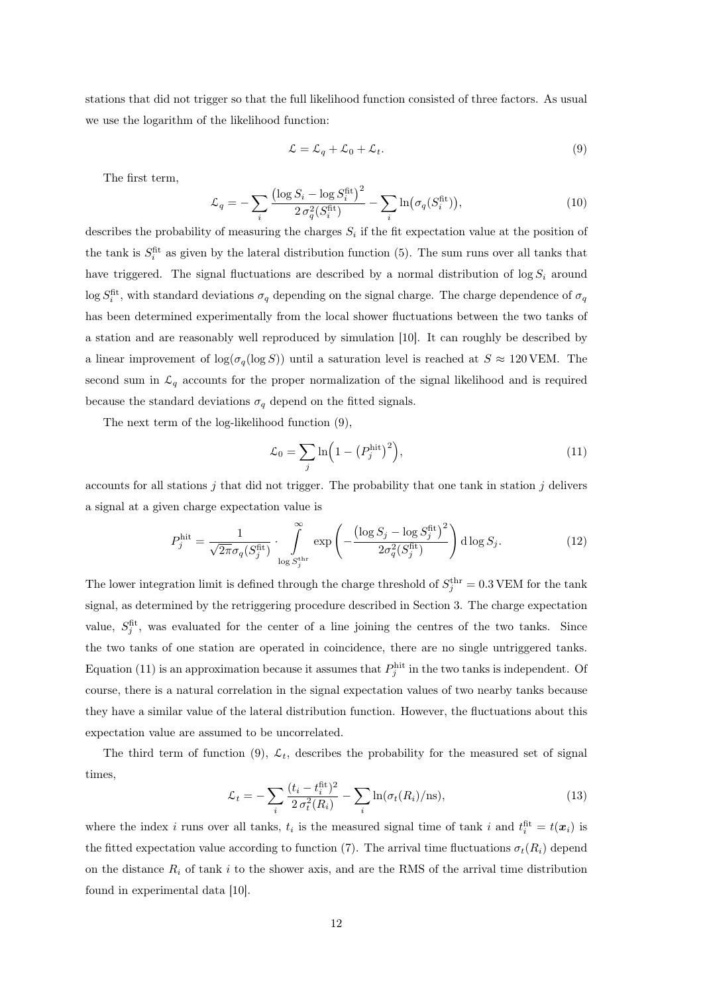stations that did not trigger so that the full likelihood function consisted of three factors. As usual we use the logarithm of the likelihood function:

$$
\mathcal{L} = \mathcal{L}_q + \mathcal{L}_0 + \mathcal{L}_t. \tag{9}
$$

The first term,

$$
\mathcal{L}_q = -\sum_i \frac{\left(\log S_i - \log S_i^{\text{fit}}\right)^2}{2\sigma_q^2 (S_i^{\text{fit}})} - \sum_i \ln(\sigma_q(S_i^{\text{fit}})),\tag{10}
$$

describes the probability of measuring the charges  $S_i$  if the fit expectation value at the position of the tank is  $S_i^{\text{fit}}$  as given by the lateral distribution function (5). The sum runs over all tanks that have triggered. The signal fluctuations are described by a normal distribution of  $\log S_i$  around  $\log S_i^{\text{fit}}$ , with standard deviations  $\sigma_q$  depending on the signal charge. The charge dependence of  $\sigma_q$ has been determined experimentally from the local shower fluctuations between the two tanks of a station and are reasonably well reproduced by simulation [10]. It can roughly be described by a linear improvement of  $\log(\sigma_q(\log S))$  until a saturation level is reached at  $S \approx 120$  VEM. The second sum in  $\mathcal{L}_q$  accounts for the proper normalization of the signal likelihood and is required because the standard deviations  $\sigma_q$  depend on the fitted signals.

The next term of the log-likelihood function (9),

$$
\mathcal{L}_0 = \sum_j \ln \left( 1 - \left( P_j^{\text{hit}} \right)^2 \right),\tag{11}
$$

accounts for all stations  $j$  that did not trigger. The probability that one tank in station  $j$  delivers a signal at a given charge expectation value is

$$
P_j^{\text{hit}} = \frac{1}{\sqrt{2\pi}\sigma_q(S_j^{\text{fit}})} \cdot \int\limits_{\log S_j^{\text{thr}}}^{\infty} \exp\left(-\frac{\left(\log S_j - \log S_j^{\text{fit}}\right)^2}{2\sigma_q^2(S_j^{\text{fit}})}\right) d\log S_j. \tag{12}
$$

The lower integration limit is defined through the charge threshold of  $S_j^{\text{thr}} = 0.3$  VEM for the tank signal, as determined by the retriggering procedure described in Section 3. The charge expectation value,  $S_j^{\text{fit}}$ , was evaluated for the center of a line joining the centres of the two tanks. Since the two tanks of one station are operated in coincidence, there are no single untriggered tanks. Equation (11) is an approximation because it assumes that  $P_j^{\text{hit}}$  in the two tanks is independent. Of course, there is a natural correlation in the signal expectation values of two nearby tanks because they have a similar value of the lateral distribution function. However, the fluctuations about this expectation value are assumed to be uncorrelated.

The third term of function (9),  $\mathcal{L}_t$ , describes the probability for the measured set of signal times,

$$
\mathcal{L}_t = -\sum_i \frac{(t_i - t_i^{\text{fit}})^2}{2\sigma_t^2(R_i)} - \sum_i \ln(\sigma_t(R_i)/\text{ns}),\tag{13}
$$

where the index i runs over all tanks,  $t_i$  is the measured signal time of tank i and  $t_i^{\text{fit}} = t(x_i)$  is the fitted expectation value according to function (7). The arrival time fluctuations  $\sigma_t(R_i)$  depend on the distance  $R_i$  of tank i to the shower axis, and are the RMS of the arrival time distribution found in experimental data [10].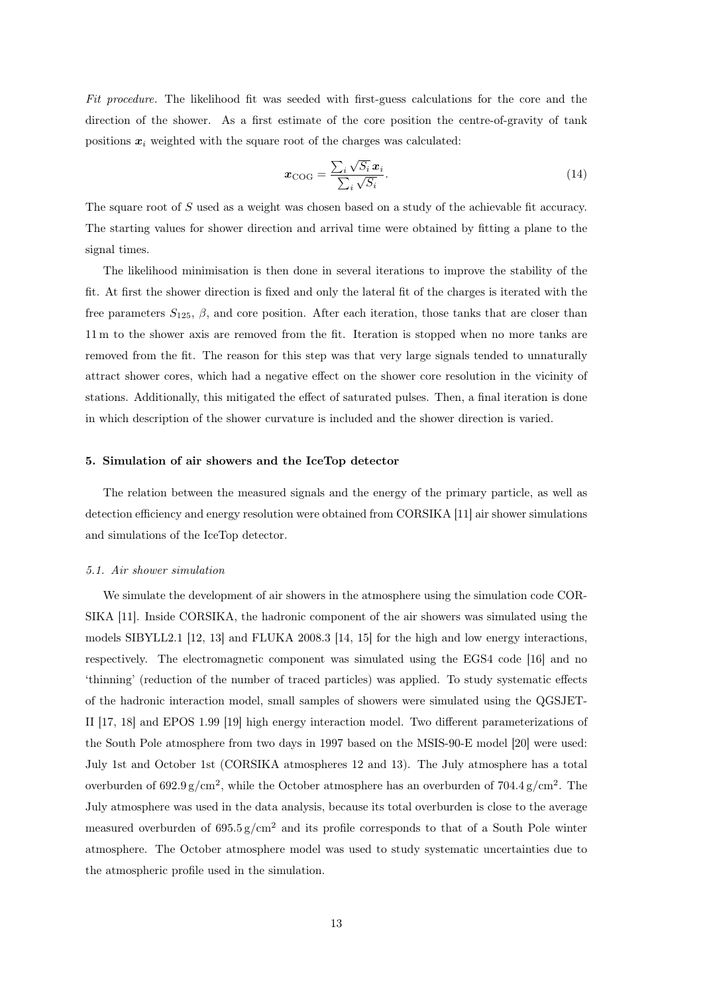Fit procedure. The likelihood fit was seeded with first-guess calculations for the core and the direction of the shower. As a first estimate of the core position the centre-of-gravity of tank positions  $x_i$  weighted with the square root of the charges was calculated:

$$
\boldsymbol{x}_{\text{COG}} = \frac{\sum_{i} \sqrt{S_i} \, \boldsymbol{x}_i}{\sum_{i} \sqrt{S_i}}.
$$
\n(14)

The square root of S used as a weight was chosen based on a study of the achievable fit accuracy. The starting values for shower direction and arrival time were obtained by fitting a plane to the signal times.

The likelihood minimisation is then done in several iterations to improve the stability of the fit. At first the shower direction is fixed and only the lateral fit of the charges is iterated with the free parameters  $S_{125}$ ,  $\beta$ , and core position. After each iteration, those tanks that are closer than 11 m to the shower axis are removed from the fit. Iteration is stopped when no more tanks are removed from the fit. The reason for this step was that very large signals tended to unnaturally attract shower cores, which had a negative effect on the shower core resolution in the vicinity of stations. Additionally, this mitigated the effect of saturated pulses. Then, a final iteration is done in which description of the shower curvature is included and the shower direction is varied.

# 5. Simulation of air showers and the IceTop detector

The relation between the measured signals and the energy of the primary particle, as well as detection efficiency and energy resolution were obtained from CORSIKA [11] air shower simulations and simulations of the IceTop detector.

# 5.1. Air shower simulation

We simulate the development of air showers in the atmosphere using the simulation code COR-SIKA [11]. Inside CORSIKA, the hadronic component of the air showers was simulated using the models SIBYLL2.1 [12, 13] and FLUKA 2008.3 [14, 15] for the high and low energy interactions, respectively. The electromagnetic component was simulated using the EGS4 code [16] and no 'thinning' (reduction of the number of traced particles) was applied. To study systematic effects of the hadronic interaction model, small samples of showers were simulated using the QGSJET-II [17, 18] and EPOS 1.99 [19] high energy interaction model. Two different parameterizations of the South Pole atmosphere from two days in 1997 based on the MSIS-90-E model [20] were used: July 1st and October 1st (CORSIKA atmospheres 12 and 13). The July atmosphere has a total overburden of  $692.9 \text{ g/cm}^2$ , while the October atmosphere has an overburden of  $704.4 \text{ g/cm}^2$ . The July atmosphere was used in the data analysis, because its total overburden is close to the average measured overburden of  $695.5 \text{ g/cm}^2$  and its profile corresponds to that of a South Pole winter atmosphere. The October atmosphere model was used to study systematic uncertainties due to the atmospheric profile used in the simulation.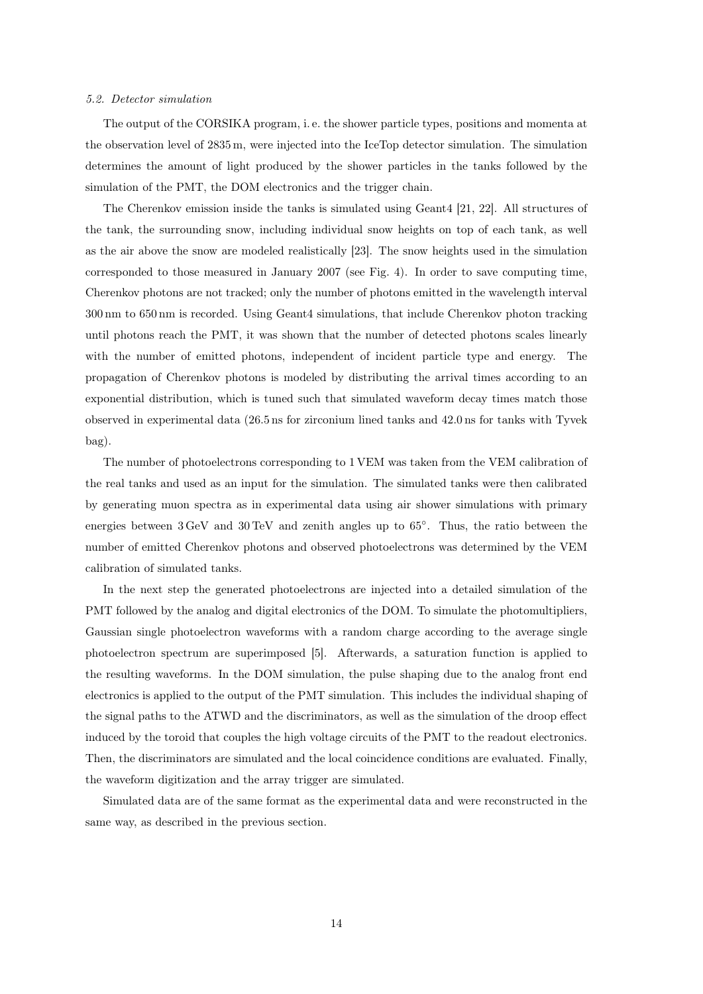## 5.2. Detector simulation

The output of the CORSIKA program, i. e. the shower particle types, positions and momenta at the observation level of 2835 m, were injected into the IceTop detector simulation. The simulation determines the amount of light produced by the shower particles in the tanks followed by the simulation of the PMT, the DOM electronics and the trigger chain.

The Cherenkov emission inside the tanks is simulated using Geant4 [21, 22]. All structures of the tank, the surrounding snow, including individual snow heights on top of each tank, as well as the air above the snow are modeled realistically [23]. The snow heights used in the simulation corresponded to those measured in January 2007 (see Fig. 4). In order to save computing time, Cherenkov photons are not tracked; only the number of photons emitted in the wavelength interval 300 nm to 650 nm is recorded. Using Geant4 simulations, that include Cherenkov photon tracking until photons reach the PMT, it was shown that the number of detected photons scales linearly with the number of emitted photons, independent of incident particle type and energy. The propagation of Cherenkov photons is modeled by distributing the arrival times according to an exponential distribution, which is tuned such that simulated waveform decay times match those observed in experimental data (26.5 ns for zirconium lined tanks and 42.0 ns for tanks with Tyvek bag).

The number of photoelectrons corresponding to 1 VEM was taken from the VEM calibration of the real tanks and used as an input for the simulation. The simulated tanks were then calibrated by generating muon spectra as in experimental data using air shower simulations with primary energies between  $3 \text{ GeV}$  and  $30 \text{ TeV}$  and zenith angles up to  $65^{\circ}$ . Thus, the ratio between the number of emitted Cherenkov photons and observed photoelectrons was determined by the VEM calibration of simulated tanks.

In the next step the generated photoelectrons are injected into a detailed simulation of the PMT followed by the analog and digital electronics of the DOM. To simulate the photomultipliers, Gaussian single photoelectron waveforms with a random charge according to the average single photoelectron spectrum are superimposed [5]. Afterwards, a saturation function is applied to the resulting waveforms. In the DOM simulation, the pulse shaping due to the analog front end electronics is applied to the output of the PMT simulation. This includes the individual shaping of the signal paths to the ATWD and the discriminators, as well as the simulation of the droop effect induced by the toroid that couples the high voltage circuits of the PMT to the readout electronics. Then, the discriminators are simulated and the local coincidence conditions are evaluated. Finally, the waveform digitization and the array trigger are simulated.

Simulated data are of the same format as the experimental data and were reconstructed in the same way, as described in the previous section.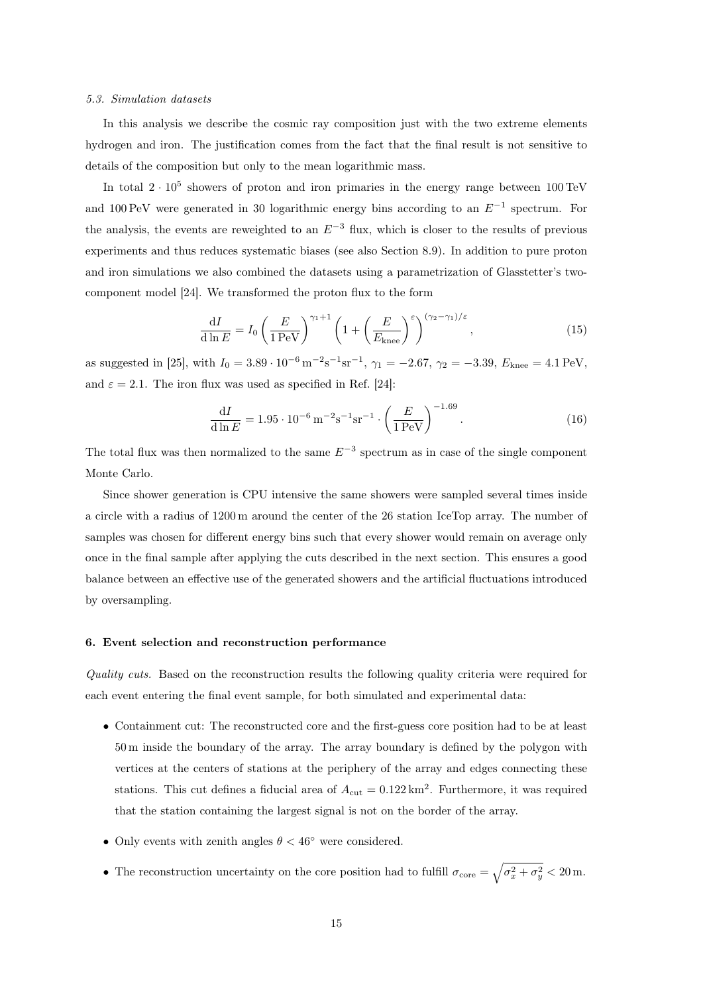## 5.3. Simulation datasets

In this analysis we describe the cosmic ray composition just with the two extreme elements hydrogen and iron. The justification comes from the fact that the final result is not sensitive to details of the composition but only to the mean logarithmic mass.

In total  $2 \cdot 10^5$  showers of proton and iron primaries in the energy range between 100 TeV and 100 PeV were generated in 30 logarithmic energy bins according to an  $E^{-1}$  spectrum. For the analysis, the events are reweighted to an  $E^{-3}$  flux, which is closer to the results of previous experiments and thus reduces systematic biases (see also Section 8.9). In addition to pure proton and iron simulations we also combined the datasets using a parametrization of Glasstetter's twocomponent model [24]. We transformed the proton flux to the form

$$
\frac{\mathrm{d}I}{\mathrm{d}\ln E} = I_0 \left(\frac{E}{1\,\text{PeV}}\right)^{\gamma_1+1} \left(1 + \left(\frac{E}{E_{\text{knee}}}\right)^{\varepsilon}\right)^{(\gamma_2-\gamma_1)/\varepsilon},\tag{15}
$$

as suggested in [25], with  $I_0 = 3.89 \cdot 10^{-6} \,\mathrm{m}^{-2} \mathrm{s}^{-1} \mathrm{sr}^{-1}$ ,  $\gamma_1 = -2.67$ ,  $\gamma_2 = -3.39$ ,  $E_{\text{knee}} = 4.1 \,\mathrm{PeV}$ , and  $\varepsilon = 2.1$ . The iron flux was used as specified in Ref. [24]:

$$
\frac{\mathrm{d}I}{\mathrm{d}\ln E} = 1.95 \cdot 10^{-6} \,\mathrm{m}^{-2} \mathrm{s}^{-1} \mathrm{sr}^{-1} \cdot \left(\frac{E}{1 \,\mathrm{PeV}}\right)^{-1.69}.\tag{16}
$$

The total flux was then normalized to the same  $E^{-3}$  spectrum as in case of the single component Monte Carlo.

Since shower generation is CPU intensive the same showers were sampled several times inside a circle with a radius of 1200 m around the center of the 26 station IceTop array. The number of samples was chosen for different energy bins such that every shower would remain on average only once in the final sample after applying the cuts described in the next section. This ensures a good balance between an effective use of the generated showers and the artificial fluctuations introduced by oversampling.

# 6. Event selection and reconstruction performance

Quality cuts. Based on the reconstruction results the following quality criteria were required for each event entering the final event sample, for both simulated and experimental data:

- Containment cut: The reconstructed core and the first-guess core position had to be at least 50 m inside the boundary of the array. The array boundary is defined by the polygon with vertices at the centers of stations at the periphery of the array and edges connecting these stations. This cut defines a fiducial area of  $A_{\text{cut}} = 0.122 \text{ km}^2$ . Furthermore, it was required that the station containing the largest signal is not on the border of the array.
- Only events with zenith angles  $\theta < 46^{\circ}$  were considered.
- The reconstruction uncertainty on the core position had to fulfill  $\sigma_{\text{core}} = \sqrt{\sigma_x^2 + \sigma_y^2} < 20 \,\text{m}$ .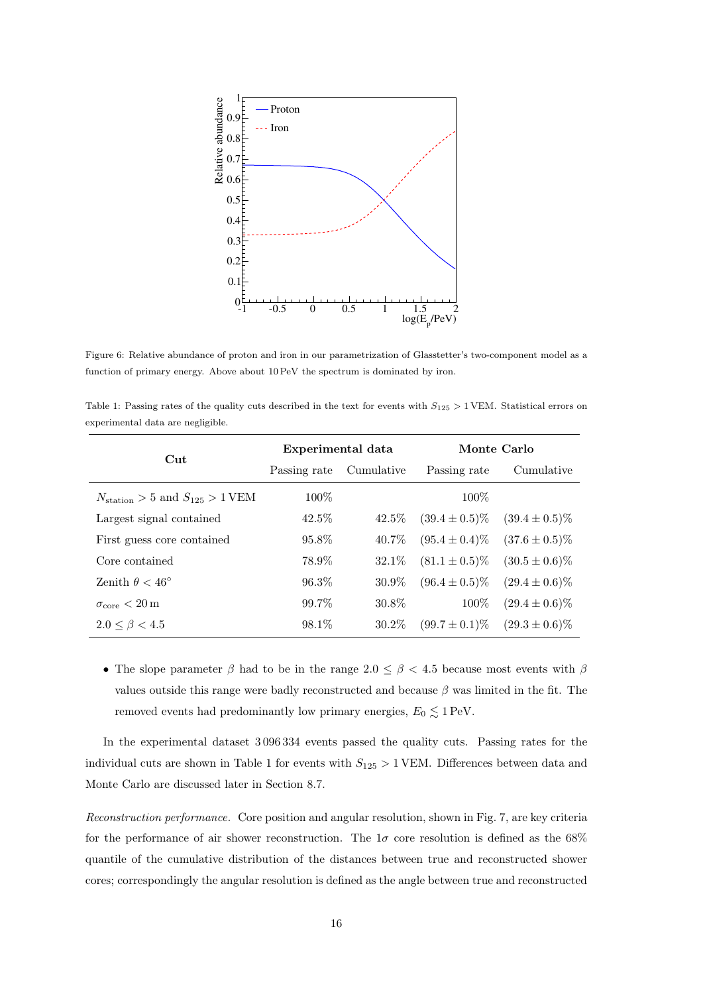

Figure 6: Relative abundance of proton and iron in our parametrization of Glasstetter's two-component model as a function of primary energy. Above about 10 PeV the spectrum is dominated by iron.

Table 1: Passing rates of the quality cuts described in the text for events with  $S_{125} > 1$  VEM. Statistical errors on experimental data are negligible.

| $_{\rm Cut}$                                   | Experimental data |            | Monte Carlo        |                    |  |
|------------------------------------------------|-------------------|------------|--------------------|--------------------|--|
|                                                | Passing rate      | Cumulative | Passing rate       | Cumulative         |  |
| $N_{\text{station}} > 5$ and $S_{125} > 1$ VEM | $100\%$           |            | 100\%              |                    |  |
| Largest signal contained                       | $42.5\%$          | $42.5\%$   | $(39.4 \pm 0.5)\%$ | $(39.4 \pm 0.5)\%$ |  |
| First guess core contained                     | 95.8%             | 40.7\%     | $(95.4 \pm 0.4)\%$ | $(37.6 \pm 0.5)\%$ |  |
| Core contained                                 | 78.9%             | $32.1\%$   | $(81.1 \pm 0.5)\%$ | $(30.5 \pm 0.6)\%$ |  |
| Zenith $\theta < 46^{\circ}$                   | $96.3\%$          | $30.9\%$   | $(96.4 \pm 0.5)\%$ | $(29.4 \pm 0.6)\%$ |  |
| $\sigma_{\rm core} < 20 \,\rm m$               | 99.7%             | 30.8%      | 100%               | $(29.4 \pm 0.6)\%$ |  |
| $2.0 \leq \beta < 4.5$                         | 98.1%             | 30.2%      | $(99.7 \pm 0.1)\%$ | $(29.3 \pm 0.6)\%$ |  |

• The slope parameter  $\beta$  had to be in the range  $2.0 \leq \beta < 4.5$  because most events with  $\beta$ values outside this range were badly reconstructed and because  $\beta$  was limited in the fit. The removed events had predominantly low primary energies,  $E_0 \lesssim 1 \text{ PeV}$ .

In the experimental dataset 3 096 334 events passed the quality cuts. Passing rates for the individual cuts are shown in Table 1 for events with  $S_{125} > 1$  VEM. Differences between data and Monte Carlo are discussed later in Section 8.7.

Reconstruction performance. Core position and angular resolution, shown in Fig. 7, are key criteria for the performance of air shower reconstruction. The  $1\sigma$  core resolution is defined as the 68% quantile of the cumulative distribution of the distances between true and reconstructed shower cores; correspondingly the angular resolution is defined as the angle between true and reconstructed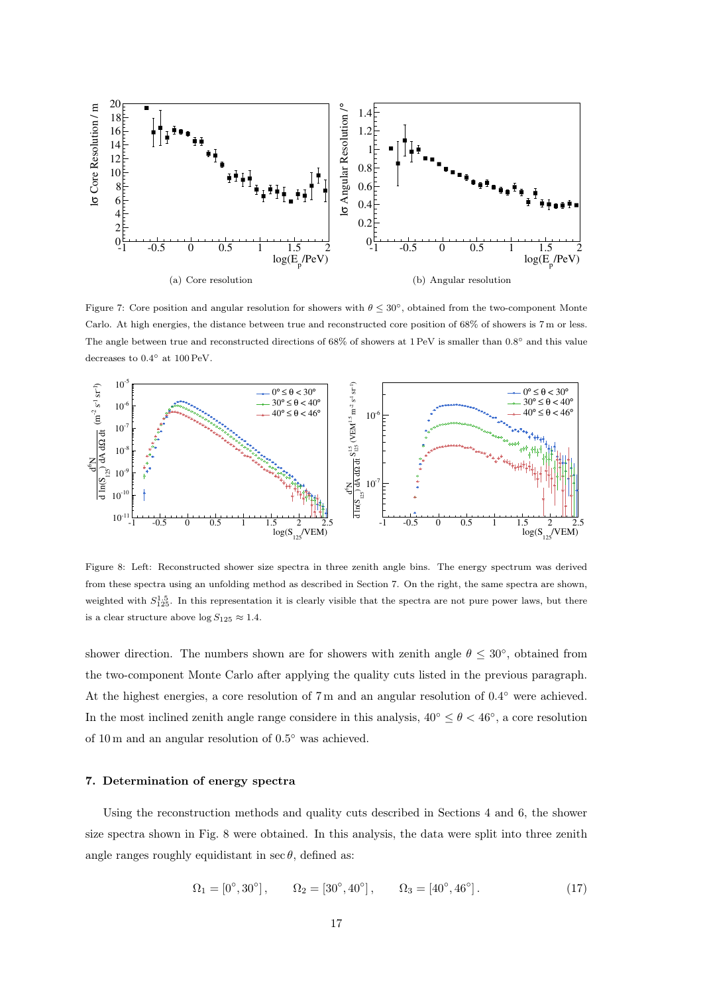

Figure 7: Core position and angular resolution for showers with  $\theta \leq 30^{\circ}$ , obtained from the two-component Monte Carlo. At high energies, the distance between true and reconstructed core position of 68% of showers is 7 m or less. The angle between true and reconstructed directions of  $68\%$  of showers at 1 PeV is smaller than  $0.8^{\circ}$  and this value decreases to  $0.4^{\circ}$  at  $100 \,\text{PeV}$ .



Figure 8: Left: Reconstructed shower size spectra in three zenith angle bins. The energy spectrum was derived from these spectra using an unfolding method as described in Section 7. On the right, the same spectra are shown, weighted with  $S_{125}^{1.5}$ . In this representation it is clearly visible that the spectra are not pure power laws, but there is a clear structure above  $\log S_{125} \approx 1.4$ .

shower direction. The numbers shown are for showers with zenith angle  $\theta \leq 30^{\circ}$ , obtained from the two-component Monte Carlo after applying the quality cuts listed in the previous paragraph. At the highest energies, a core resolution of 7 m and an angular resolution of 0.4° were achieved. In the most inclined zenith angle range considere in this analysis,  $40^{\circ} \le \theta < 46^{\circ}$ , a core resolution of 10 m and an angular resolution of  $0.5^{\circ}$  was achieved.

# 7. Determination of energy spectra

Using the reconstruction methods and quality cuts described in Sections 4 and 6, the shower size spectra shown in Fig. 8 were obtained. In this analysis, the data were split into three zenith angle ranges roughly equidistant in  $\sec \theta$ , defined as:

$$
\Omega_1 = [0^\circ, 30^\circ], \qquad \Omega_2 = [30^\circ, 40^\circ], \qquad \Omega_3 = [40^\circ, 46^\circ]. \tag{17}
$$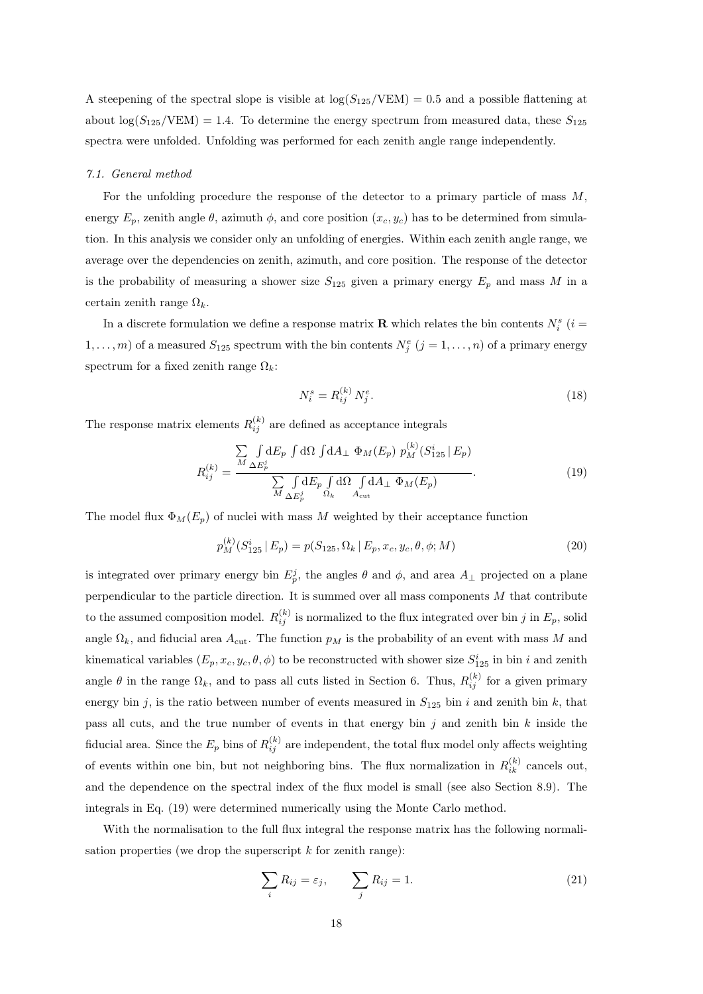A steepening of the spectral slope is visible at  $\log(S_{125}/VEM) = 0.5$  and a possible flattening at about  $\log(S_{125}/\text{VEM}) = 1.4$ . To determine the energy spectrum from measured data, these  $S_{125}$ spectra were unfolded. Unfolding was performed for each zenith angle range independently.

#### 7.1. General method

For the unfolding procedure the response of the detector to a primary particle of mass  $M$ , energy  $E_p$ , zenith angle  $\theta$ , azimuth  $\phi$ , and core position  $(x_c, y_c)$  has to be determined from simulation. In this analysis we consider only an unfolding of energies. Within each zenith angle range, we average over the dependencies on zenith, azimuth, and core position. The response of the detector is the probability of measuring a shower size  $S_{125}$  given a primary energy  $E_p$  and mass M in a certain zenith range  $\Omega_k$ .

In a discrete formulation we define a response matrix **R** which relates the bin contents  $N_i^s$  ( $i =$  $1, \ldots, m$  of a measured  $S_{125}$  spectrum with the bin contents  $N_j^e$   $(j = 1, \ldots, n)$  of a primary energy spectrum for a fixed zenith range  $\Omega_k$ :

$$
N_i^s = R_{ij}^{(k)} N_j^e. \t\t(18)
$$

The response matrix elements  $R_{ij}^{(k)}$  are defined as acceptance integrals

$$
R_{ij}^{(k)} = \frac{\sum_{M \Delta E_p^j} \int d\Omega \int dA_{\perp} \Phi_M(E_p) p_M^{(k)}(S_{125}^i | E_p)}{\sum_{M \Delta E_p^j} \int dE_p \int d\Omega \int dA_{\perp} \Phi_M(E_p)}.
$$
(19)

The model flux  $\Phi_M(E_p)$  of nuclei with mass M weighted by their acceptance function

$$
p_M^{(k)}(S_{125}^i \mid E_p) = p(S_{125}, \Omega_k \mid E_p, x_c, y_c, \theta, \phi; M)
$$
\n(20)

is integrated over primary energy bin  $E_p^j$ , the angles  $\theta$  and  $\phi$ , and area  $A_{\perp}$  projected on a plane perpendicular to the particle direction. It is summed over all mass components  $M$  that contribute to the assumed composition model.  $R_{ij}^{(k)}$  is normalized to the flux integrated over bin j in  $E_p$ , solid angle  $\Omega_k$ , and fiducial area  $A_{\text{cut}}$ . The function  $p_M$  is the probability of an event with mass M and kinematical variables  $(E_p, x_c, y_c, \theta, \phi)$  to be reconstructed with shower size  $S_{125}^i$  in bin i and zenith angle  $\theta$  in the range  $\Omega_k$ , and to pass all cuts listed in Section 6. Thus,  $R_{ij}^{(k)}$  for a given primary energy bin j, is the ratio between number of events measured in  $S_{125}$  bin i and zenith bin k, that pass all cuts, and the true number of events in that energy bin  $j$  and zenith bin  $k$  inside the fiducial area. Since the  $E_p$  bins of  $R_{ij}^{(k)}$  are independent, the total flux model only affects weighting of events within one bin, but not neighboring bins. The flux normalization in  $R_{ik}^{(k)}$  cancels out, and the dependence on the spectral index of the flux model is small (see also Section 8.9). The integrals in Eq. (19) were determined numerically using the Monte Carlo method.

With the normalisation to the full flux integral the response matrix has the following normalisation properties (we drop the superscript  $k$  for zenith range):

$$
\sum_{i} R_{ij} = \varepsilon_j, \qquad \sum_{j} R_{ij} = 1. \tag{21}
$$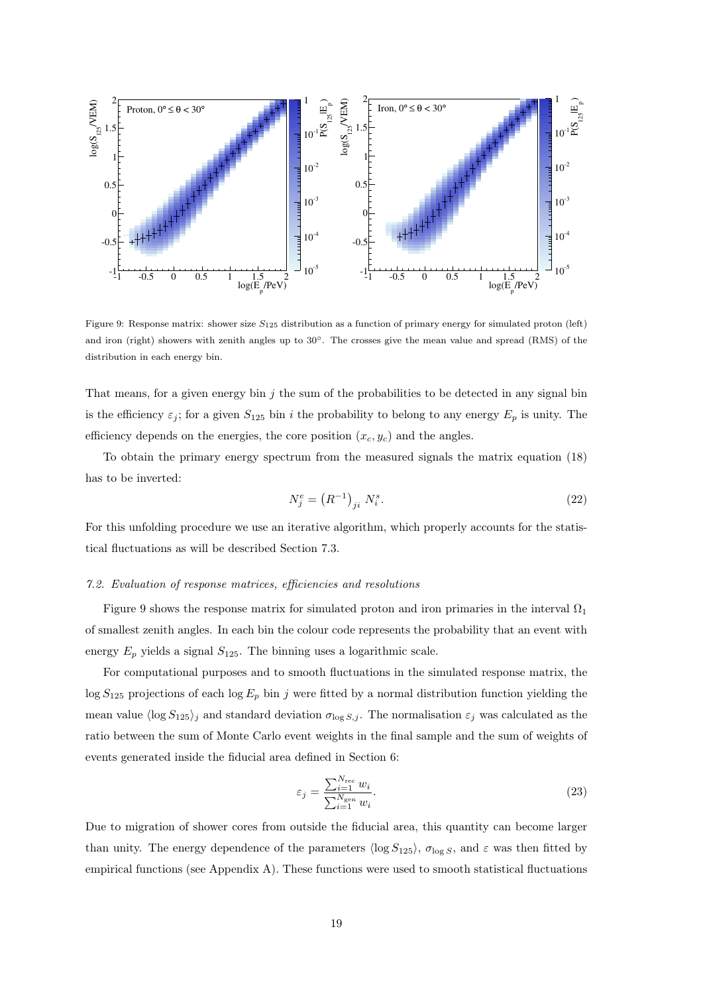

Figure 9: Response matrix: shower size  $S_{125}$  distribution as a function of primary energy for simulated proton (left) and iron (right) showers with zenith angles up to 30◦. The crosses give the mean value and spread (RMS) of the distribution in each energy bin.

That means, for a given energy bin  $j$  the sum of the probabilities to be detected in any signal bin is the efficiency  $\varepsilon_j$ ; for a given  $S_{125}$  bin i the probability to belong to any energy  $E_p$  is unity. The efficiency depends on the energies, the core position  $(x_c, y_c)$  and the angles.

To obtain the primary energy spectrum from the measured signals the matrix equation (18) has to be inverted:

$$
N_j^e = (R^{-1})_{ji} N_i^s. \t\t(22)
$$

For this unfolding procedure we use an iterative algorithm, which properly accounts for the statistical fluctuations as will be described Section 7.3.

## 7.2. Evaluation of response matrices, efficiencies and resolutions

Figure 9 shows the response matrix for simulated proton and iron primaries in the interval  $\Omega_1$ of smallest zenith angles. In each bin the colour code represents the probability that an event with energy  $E_p$  yields a signal  $S_{125}$ . The binning uses a logarithmic scale.

For computational purposes and to smooth fluctuations in the simulated response matrix, the  $\log S_{125}$  projections of each  $\log E_p$  bin j were fitted by a normal distribution function yielding the mean value  $\langle \log S_{125} \rangle_j$  and standard deviation  $\sigma_{\log S,j}$ . The normalisation  $\varepsilon_j$  was calculated as the ratio between the sum of Monte Carlo event weights in the final sample and the sum of weights of events generated inside the fiducial area defined in Section 6:

$$
\varepsilon_j = \frac{\sum_{i=1}^{N_{\text{rec}}} w_i}{\sum_{i=1}^{N_{\text{gen}}} w_i}.\tag{23}
$$

Due to migration of shower cores from outside the fiducial area, this quantity can become larger than unity. The energy dependence of the parameters  $\langle \log S_{125} \rangle$ ,  $\sigma_{\log S}$ , and  $\varepsilon$  was then fitted by empirical functions (see Appendix A). These functions were used to smooth statistical fluctuations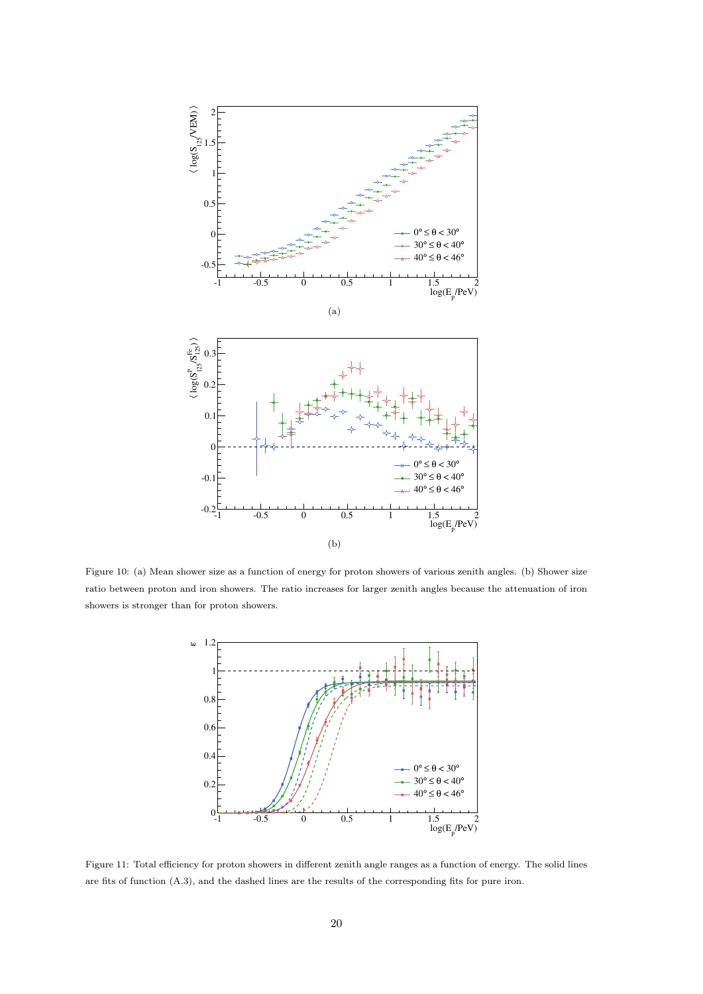

Figure 10: (a) Mean shower size as a function of energy for proton showers of various zenith angles. (b) Shower size ratio between proton and iron showers. The ratio increases for larger zenith angles because the attenuation of iron showers is stronger than for proton showers.



Figure 11: Total efficiency for proton showers in different zenith angle ranges as a function of energy. The solid lines are fits of function (A.3), and the dashed lines are the results of the corresponding fits for pure iron.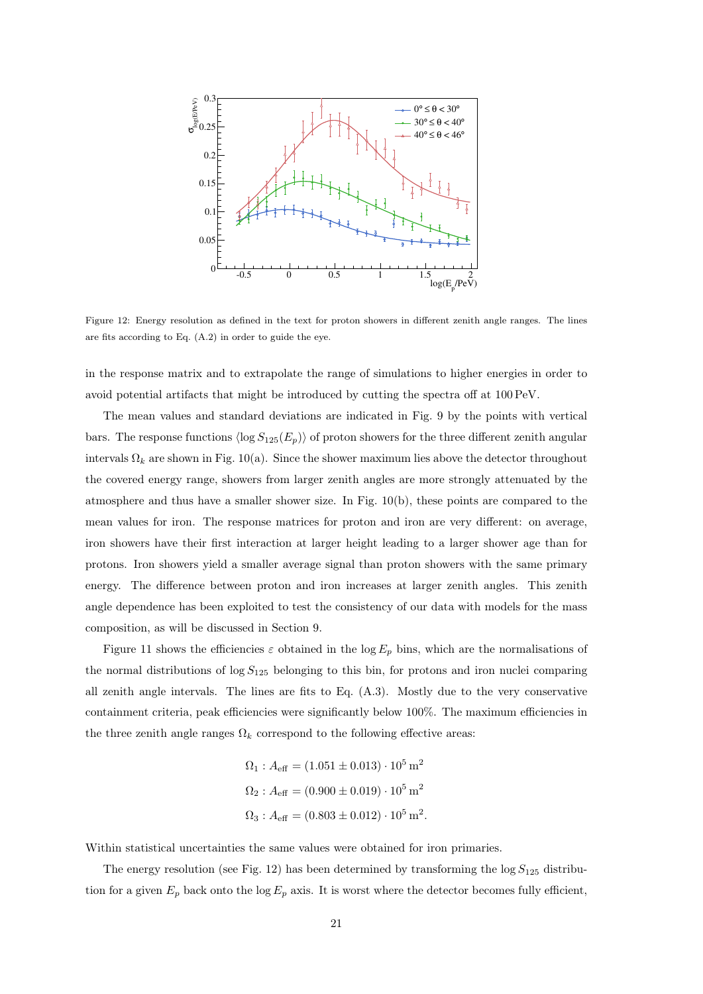

Figure 12: Energy resolution as defined in the text for proton showers in different zenith angle ranges. The lines are fits according to Eq. (A.2) in order to guide the eye.

in the response matrix and to extrapolate the range of simulations to higher energies in order to avoid potential artifacts that might be introduced by cutting the spectra off at 100 PeV.

The mean values and standard deviations are indicated in Fig. 9 by the points with vertical bars. The response functions  $\langle \log S_{125}(E_p) \rangle$  of proton showers for the three different zenith angular intervals  $\Omega_k$  are shown in Fig. 10(a). Since the shower maximum lies above the detector throughout the covered energy range, showers from larger zenith angles are more strongly attenuated by the atmosphere and thus have a smaller shower size. In Fig. 10(b), these points are compared to the mean values for iron. The response matrices for proton and iron are very different: on average, iron showers have their first interaction at larger height leading to a larger shower age than for protons. Iron showers yield a smaller average signal than proton showers with the same primary energy. The difference between proton and iron increases at larger zenith angles. This zenith angle dependence has been exploited to test the consistency of our data with models for the mass composition, as will be discussed in Section 9.

Figure 11 shows the efficiencies  $\varepsilon$  obtained in the log  $E_p$  bins, which are the normalisations of the normal distributions of  $\log S_{125}$  belonging to this bin, for protons and iron nuclei comparing all zenith angle intervals. The lines are fits to Eq.  $(A.3)$ . Mostly due to the very conservative containment criteria, peak efficiencies were significantly below 100%. The maximum efficiencies in the three zenith angle ranges  $\Omega_k$  correspond to the following effective areas:

$$
\Omega_1: A_{\text{eff}} = (1.051 \pm 0.013) \cdot 10^5 \,\text{m}^2
$$
  

$$
\Omega_2: A_{\text{eff}} = (0.900 \pm 0.019) \cdot 10^5 \,\text{m}^2
$$
  

$$
\Omega_3: A_{\text{eff}} = (0.803 \pm 0.012) \cdot 10^5 \,\text{m}^2.
$$

Within statistical uncertainties the same values were obtained for iron primaries.

The energy resolution (see Fig. 12) has been determined by transforming the  $\log S_{125}$  distribution for a given  $E_p$  back onto the log  $E_p$  axis. It is worst where the detector becomes fully efficient,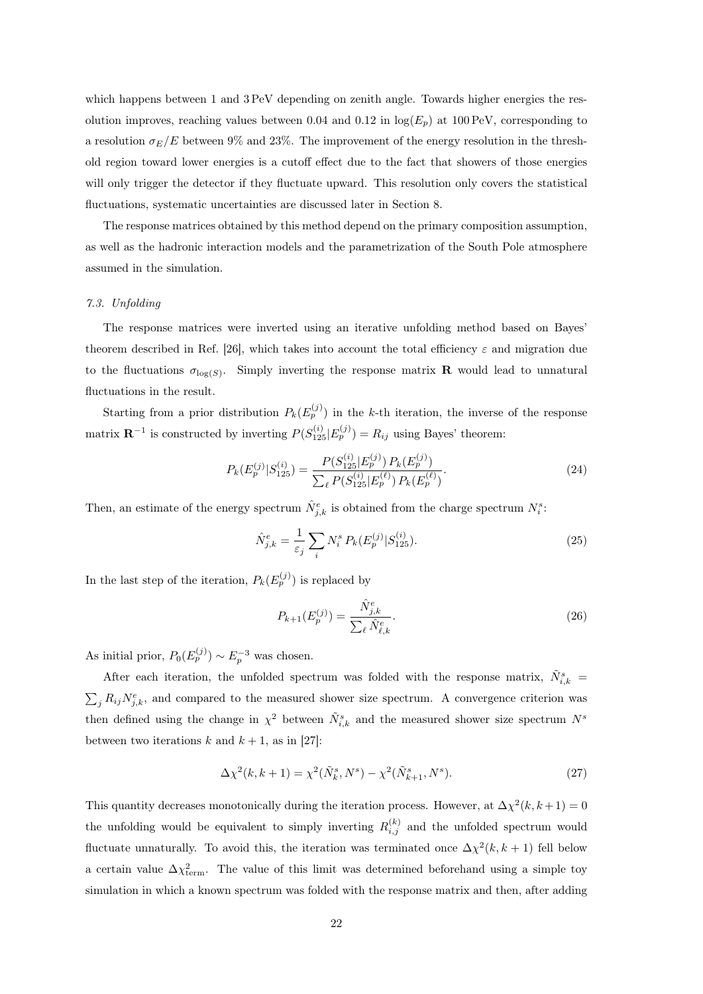which happens between 1 and 3 PeV depending on zenith angle. Towards higher energies the resolution improves, reaching values between 0.04 and 0.12 in  $log(E_p)$  at 100 PeV, corresponding to a resolution  $\sigma_E/E$  between 9% and 23%. The improvement of the energy resolution in the threshold region toward lower energies is a cutoff effect due to the fact that showers of those energies will only trigger the detector if they fluctuate upward. This resolution only covers the statistical fluctuations, systematic uncertainties are discussed later in Section 8.

The response matrices obtained by this method depend on the primary composition assumption, as well as the hadronic interaction models and the parametrization of the South Pole atmosphere assumed in the simulation.

# 7.3. Unfolding

The response matrices were inverted using an iterative unfolding method based on Bayes' theorem described in Ref. [26], which takes into account the total efficiency  $\varepsilon$  and migration due to the fluctuations  $\sigma_{\log(S)}$ . Simply inverting the response matrix **R** would lead to unnatural fluctuations in the result.

Starting from a prior distribution  $P_k(E_p^{(j)})$  in the k-th iteration, the inverse of the response matrix  $\mathbf{R}^{-1}$  is constructed by inverting  $P(S_{125}^{(i)} | E_p^{(j)}) = R_{ij}$  using Bayes' theorem:

$$
P_k(E_p^{(j)}|S_{125}^{(i)}) = \frac{P(S_{125}^{(i)}|E_p^{(j)}) P_k(E_p^{(j)})}{\sum_{\ell} P(S_{125}^{(i)}|E_p^{(\ell)}) P_k(E_p^{(\ell)})}.
$$
\n(24)

Then, an estimate of the energy spectrum  $\hat{N}_{j,k}^e$  is obtained from the charge spectrum  $N_i^s$ :

$$
\hat{N}_{j,k}^e = \frac{1}{\varepsilon_j} \sum_i N_i^s P_k(E_p^{(j)} | S_{125}^{(i)})
$$
\n(25)

In the last step of the iteration,  $P_k(E_p^{(j)})$  is replaced by

$$
P_{k+1}(E_p^{(j)}) = \frac{\hat{N}_{j,k}^e}{\sum_{\ell} \hat{N}_{\ell,k}^e}.
$$
\n(26)

As initial prior,  $P_0(E_p^{(j)}) \sim E_p^{-3}$  was chosen.

After each iteration, the unfolded spectrum was folded with the response matrix,  $\tilde{N}_{i,k}^s =$  $\sum_j R_{ij} N_{j,k}^e$ , and compared to the measured shower size spectrum. A convergence criterion was then defined using the change in  $\chi^2$  between  $\tilde{N}_{i,k}^s$  and the measured shower size spectrum  $N^s$ between two iterations k and  $k + 1$ , as in [27]:

$$
\Delta \chi^2(k, k+1) = \chi^2(\tilde{N}_k^s, N^s) - \chi^2(\tilde{N}_{k+1}^s, N^s).
$$
 (27)

This quantity decreases monotonically during the iteration process. However, at  $\Delta \chi^2(k, k+1) = 0$ the unfolding would be equivalent to simply inverting  $R_{i,j}^{(k)}$  and the unfolded spectrum would fluctuate unnaturally. To avoid this, the iteration was terminated once  $\Delta \chi^2(k, k+1)$  fell below a certain value  $\Delta \chi^2_{\text{term}}$ . The value of this limit was determined beforehand using a simple toy simulation in which a known spectrum was folded with the response matrix and then, after adding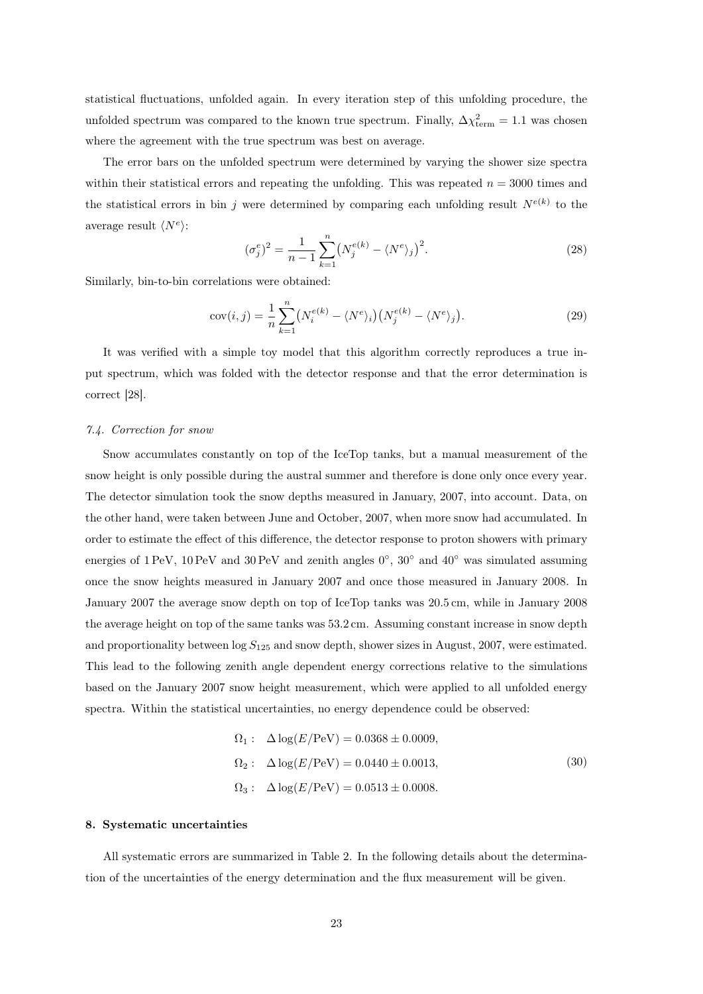statistical fluctuations, unfolded again. In every iteration step of this unfolding procedure, the unfolded spectrum was compared to the known true spectrum. Finally,  $\Delta \chi^2_{\text{term}} = 1.1$  was chosen where the agreement with the true spectrum was best on average.

The error bars on the unfolded spectrum were determined by varying the shower size spectra within their statistical errors and repeating the unfolding. This was repeated  $n = 3000$  times and the statistical errors in bin j were determined by comparing each unfolding result  $N^{e(k)}$  to the average result  $\langle N^e \rangle$ :

$$
(\sigma_j^e)^2 = \frac{1}{n-1} \sum_{k=1}^n (N_j^{e(k)} - \langle N^e \rangle_j)^2.
$$
 (28)

Similarly, bin-to-bin correlations were obtained:

$$
cov(i,j) = \frac{1}{n} \sum_{k=1}^{n} \left( N_i^{e(k)} - \langle N^e \rangle_i \right) \left( N_j^{e(k)} - \langle N^e \rangle_j \right). \tag{29}
$$

It was verified with a simple toy model that this algorithm correctly reproduces a true input spectrum, which was folded with the detector response and that the error determination is correct [28].

#### 7.4. Correction for snow

Snow accumulates constantly on top of the IceTop tanks, but a manual measurement of the snow height is only possible during the austral summer and therefore is done only once every year. The detector simulation took the snow depths measured in January, 2007, into account. Data, on the other hand, were taken between June and October, 2007, when more snow had accumulated. In order to estimate the effect of this difference, the detector response to proton showers with primary energies of 1 PeV, 10 PeV and 30 PeV and zenith angles  $0^{\circ}$ ,  $30^{\circ}$  and  $40^{\circ}$  was simulated assuming once the snow heights measured in January 2007 and once those measured in January 2008. In January 2007 the average snow depth on top of IceTop tanks was 20.5 cm, while in January 2008 the average height on top of the same tanks was 53.2 cm. Assuming constant increase in snow depth and proportionality between  $\log S_{125}$  and snow depth, shower sizes in August, 2007, were estimated. This lead to the following zenith angle dependent energy corrections relative to the simulations based on the January 2007 snow height measurement, which were applied to all unfolded energy spectra. Within the statistical uncertainties, no energy dependence could be observed:

$$
\Omega_1: \quad \Delta \log(E/\text{PeV}) = 0.0368 \pm 0.0009, \n\Omega_2: \quad \Delta \log(E/\text{PeV}) = 0.0440 \pm 0.0013, \n\Omega_3: \quad \Delta \log(E/\text{PeV}) = 0.0513 \pm 0.0008.
$$
\n(30)

#### 8. Systematic uncertainties

All systematic errors are summarized in Table 2. In the following details about the determination of the uncertainties of the energy determination and the flux measurement will be given.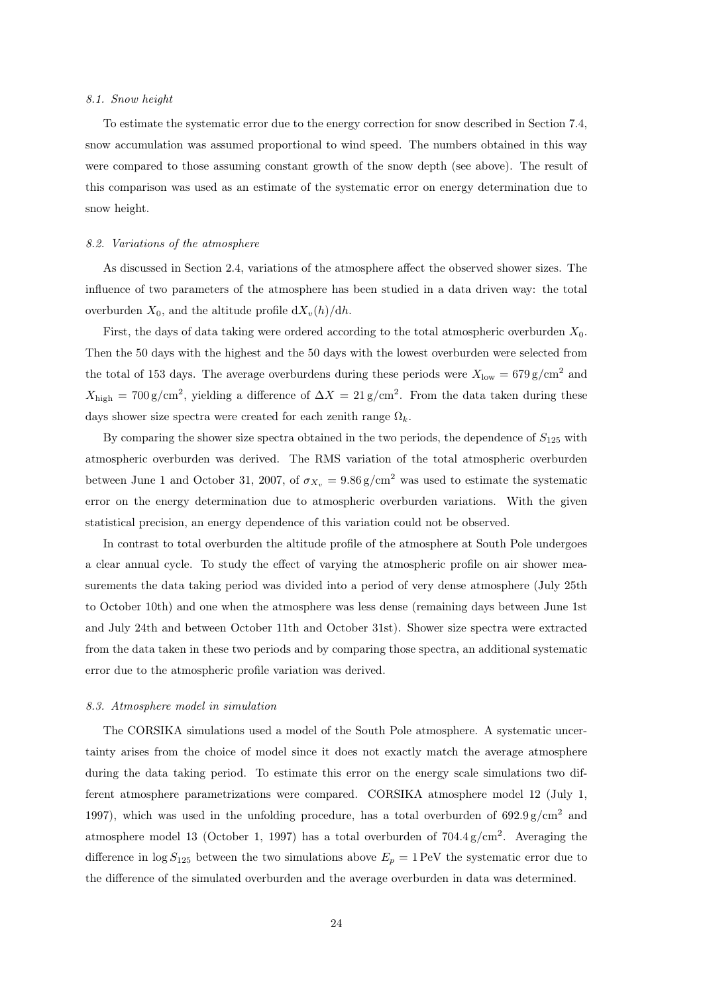#### 8.1. Snow height

To estimate the systematic error due to the energy correction for snow described in Section 7.4, snow accumulation was assumed proportional to wind speed. The numbers obtained in this way were compared to those assuming constant growth of the snow depth (see above). The result of this comparison was used as an estimate of the systematic error on energy determination due to snow height.

#### 8.2. Variations of the atmosphere

As discussed in Section 2.4, variations of the atmosphere affect the observed shower sizes. The influence of two parameters of the atmosphere has been studied in a data driven way: the total overburden  $X_0$ , and the altitude profile  $\frac{dX_v(h)}{dh}$ .

First, the days of data taking were ordered according to the total atmospheric overburden  $X_0$ . Then the 50 days with the highest and the 50 days with the lowest overburden were selected from the total of 153 days. The average overburdens during these periods were  $X_{\text{low}} = 679 \text{ g/cm}^2$  and  $X_{\text{high}} = 700 \text{ g/cm}^2$ , yielding a difference of  $\Delta X = 21 \text{ g/cm}^2$ . From the data taken during these days shower size spectra were created for each zenith range  $\Omega_k$ .

By comparing the shower size spectra obtained in the two periods, the dependence of  $S_{125}$  with atmospheric overburden was derived. The RMS variation of the total atmospheric overburden between June 1 and October 31, 2007, of  $\sigma_{X_v} = 9.86 \text{ g/cm}^2$  was used to estimate the systematic error on the energy determination due to atmospheric overburden variations. With the given statistical precision, an energy dependence of this variation could not be observed.

In contrast to total overburden the altitude profile of the atmosphere at South Pole undergoes a clear annual cycle. To study the effect of varying the atmospheric profile on air shower measurements the data taking period was divided into a period of very dense atmosphere (July 25th to October 10th) and one when the atmosphere was less dense (remaining days between June 1st and July 24th and between October 11th and October 31st). Shower size spectra were extracted from the data taken in these two periods and by comparing those spectra, an additional systematic error due to the atmospheric profile variation was derived.

## 8.3. Atmosphere model in simulation

The CORSIKA simulations used a model of the South Pole atmosphere. A systematic uncertainty arises from the choice of model since it does not exactly match the average atmosphere during the data taking period. To estimate this error on the energy scale simulations two different atmosphere parametrizations were compared. CORSIKA atmosphere model 12 (July 1, 1997), which was used in the unfolding procedure, has a total overburden of  $692.9 g/cm^2$  and atmosphere model 13 (October 1, 1997) has a total overburden of  $704.4\,\mathrm{g/cm^2}$ . Averaging the difference in  $\log S_{125}$  between the two simulations above  $E_p = 1 \text{ PeV}$  the systematic error due to the difference of the simulated overburden and the average overburden in data was determined.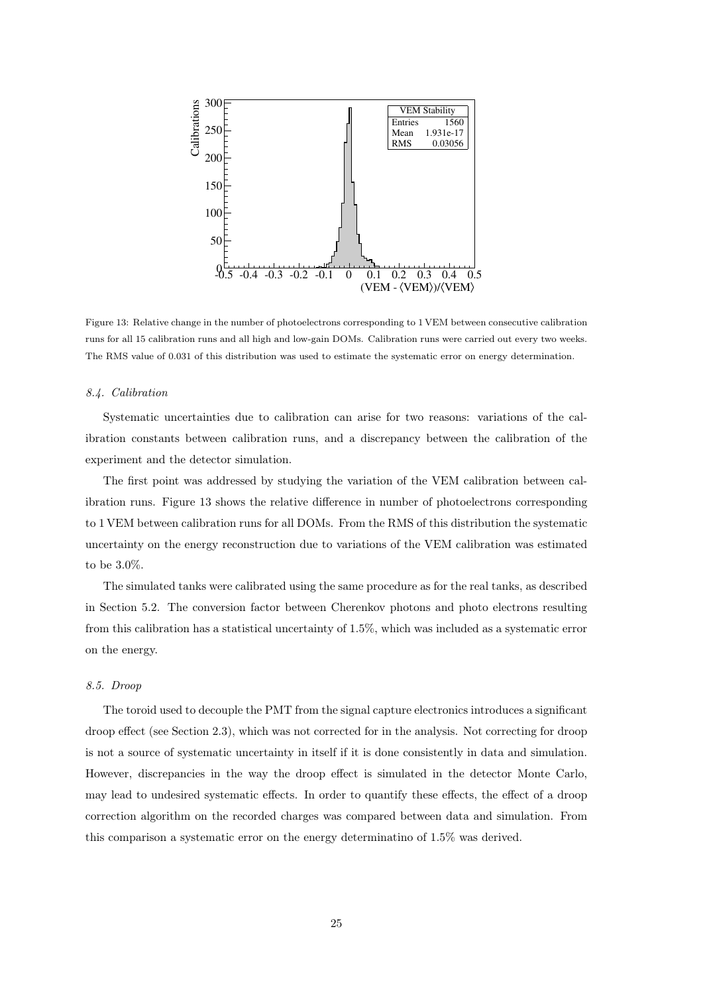

Figure 13: Relative change in the number of photoelectrons corresponding to 1 VEM between consecutive calibration runs for all 15 calibration runs and all high and low-gain DOMs. Calibration runs were carried out every two weeks. The RMS value of 0.031 of this distribution was used to estimate the systematic error on energy determination.

## 8.4. Calibration

Systematic uncertainties due to calibration can arise for two reasons: variations of the calibration constants between calibration runs, and a discrepancy between the calibration of the experiment and the detector simulation.

The first point was addressed by studying the variation of the VEM calibration between calibration runs. Figure 13 shows the relative difference in number of photoelectrons corresponding to 1 VEM between calibration runs for all DOMs. From the RMS of this distribution the systematic uncertainty on the energy reconstruction due to variations of the VEM calibration was estimated to be 3.0%.

The simulated tanks were calibrated using the same procedure as for the real tanks, as described in Section 5.2. The conversion factor between Cherenkov photons and photo electrons resulting from this calibration has a statistical uncertainty of 1.5%, which was included as a systematic error on the energy.

# 8.5. Droop

The toroid used to decouple the PMT from the signal capture electronics introduces a significant droop effect (see Section 2.3), which was not corrected for in the analysis. Not correcting for droop is not a source of systematic uncertainty in itself if it is done consistently in data and simulation. However, discrepancies in the way the droop effect is simulated in the detector Monte Carlo, may lead to undesired systematic effects. In order to quantify these effects, the effect of a droop correction algorithm on the recorded charges was compared between data and simulation. From this comparison a systematic error on the energy determinatino of 1.5% was derived.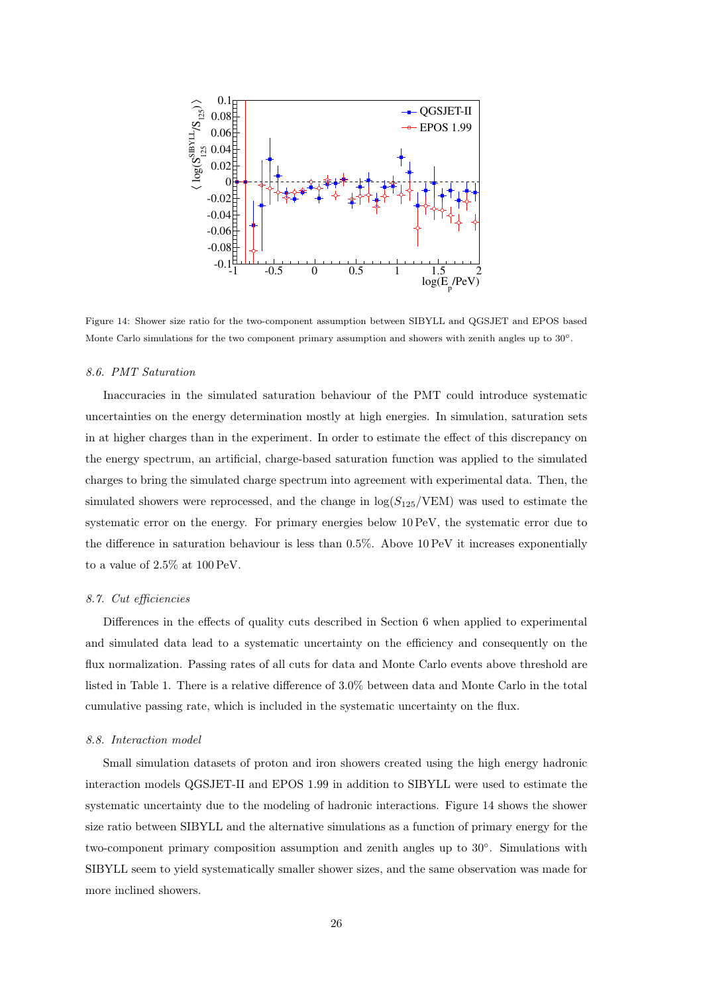

Figure 14: Shower size ratio for the two-component assumption between SIBYLL and QGSJET and EPOS based Monte Carlo simulations for the two component primary assumption and showers with zenith angles up to 30°.

# 8.6. PMT Saturation

Inaccuracies in the simulated saturation behaviour of the PMT could introduce systematic uncertainties on the energy determination mostly at high energies. In simulation, saturation sets in at higher charges than in the experiment. In order to estimate the effect of this discrepancy on the energy spectrum, an artificial, charge-based saturation function was applied to the simulated charges to bring the simulated charge spectrum into agreement with experimental data. Then, the simulated showers were reprocessed, and the change in  $\log(S_{125}/\text{VEM})$  was used to estimate the systematic error on the energy. For primary energies below 10 PeV, the systematic error due to the difference in saturation behaviour is less than 0.5%. Above 10 PeV it increases exponentially to a value of 2.5% at 100 PeV.

## 8.7. Cut efficiencies

Differences in the effects of quality cuts described in Section 6 when applied to experimental and simulated data lead to a systematic uncertainty on the efficiency and consequently on the flux normalization. Passing rates of all cuts for data and Monte Carlo events above threshold are listed in Table 1. There is a relative difference of 3.0% between data and Monte Carlo in the total cumulative passing rate, which is included in the systematic uncertainty on the flux.

#### 8.8. Interaction model

Small simulation datasets of proton and iron showers created using the high energy hadronic interaction models QGSJET-II and EPOS 1.99 in addition to SIBYLL were used to estimate the systematic uncertainty due to the modeling of hadronic interactions. Figure 14 shows the shower size ratio between SIBYLL and the alternative simulations as a function of primary energy for the two-component primary composition assumption and zenith angles up to 30◦ . Simulations with SIBYLL seem to yield systematically smaller shower sizes, and the same observation was made for more inclined showers.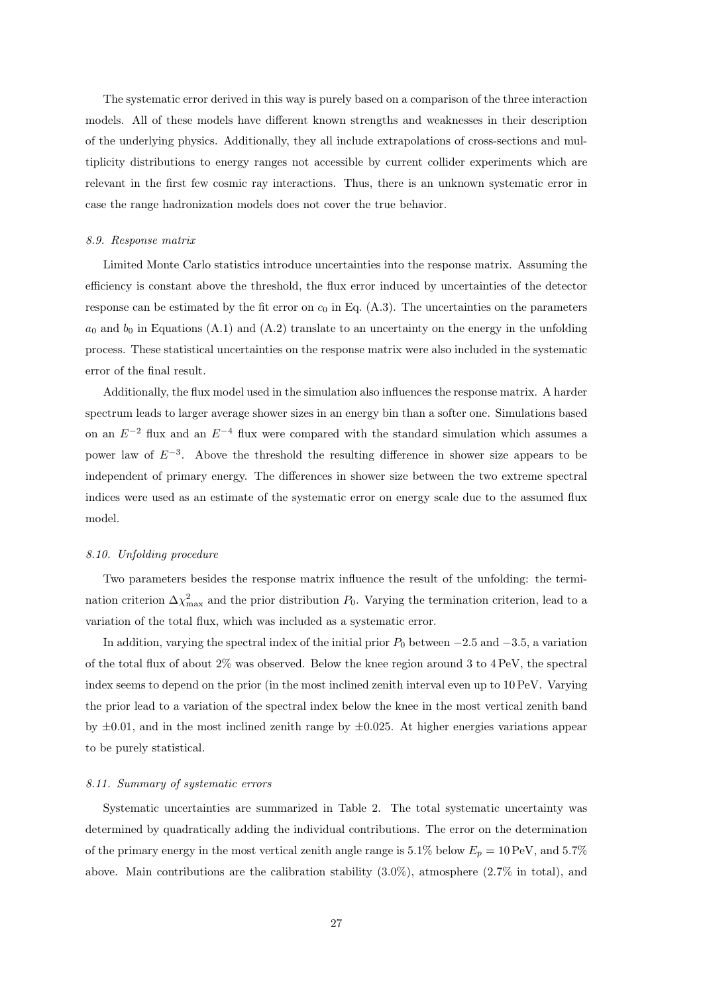The systematic error derived in this way is purely based on a comparison of the three interaction models. All of these models have different known strengths and weaknesses in their description of the underlying physics. Additionally, they all include extrapolations of cross-sections and multiplicity distributions to energy ranges not accessible by current collider experiments which are relevant in the first few cosmic ray interactions. Thus, there is an unknown systematic error in case the range hadronization models does not cover the true behavior.

#### 8.9. Response matrix

Limited Monte Carlo statistics introduce uncertainties into the response matrix. Assuming the efficiency is constant above the threshold, the flux error induced by uncertainties of the detector response can be estimated by the fit error on  $c_0$  in Eq. (A.3). The uncertainties on the parameters  $a_0$  and  $b_0$  in Equations (A.1) and (A.2) translate to an uncertainty on the energy in the unfolding process. These statistical uncertainties on the response matrix were also included in the systematic error of the final result.

Additionally, the flux model used in the simulation also influences the response matrix. A harder spectrum leads to larger average shower sizes in an energy bin than a softer one. Simulations based on an  $E^{-2}$  flux and an  $E^{-4}$  flux were compared with the standard simulation which assumes a power law of  $E^{-3}$ . Above the threshold the resulting difference in shower size appears to be independent of primary energy. The differences in shower size between the two extreme spectral indices were used as an estimate of the systematic error on energy scale due to the assumed flux model.

## 8.10. Unfolding procedure

Two parameters besides the response matrix influence the result of the unfolding: the termination criterion  $\Delta \chi^2_{\text{max}}$  and the prior distribution  $P_0$ . Varying the termination criterion, lead to a variation of the total flux, which was included as a systematic error.

In addition, varying the spectral index of the initial prior  $P_0$  between  $-2.5$  and  $-3.5$ , a variation of the total flux of about 2% was observed. Below the knee region around 3 to 4 PeV, the spectral index seems to depend on the prior (in the most inclined zenith interval even up to 10 PeV. Varying the prior lead to a variation of the spectral index below the knee in the most vertical zenith band by  $\pm 0.01$ , and in the most inclined zenith range by  $\pm 0.025$ . At higher energies variations appear to be purely statistical.

#### 8.11. Summary of systematic errors

Systematic uncertainties are summarized in Table 2. The total systematic uncertainty was determined by quadratically adding the individual contributions. The error on the determination of the primary energy in the most vertical zenith angle range is 5.1% below  $E_p = 10 \text{ PeV}$ , and 5.7% above. Main contributions are the calibration stability  $(3.0\%)$ , atmosphere  $(2.7\%$  in total), and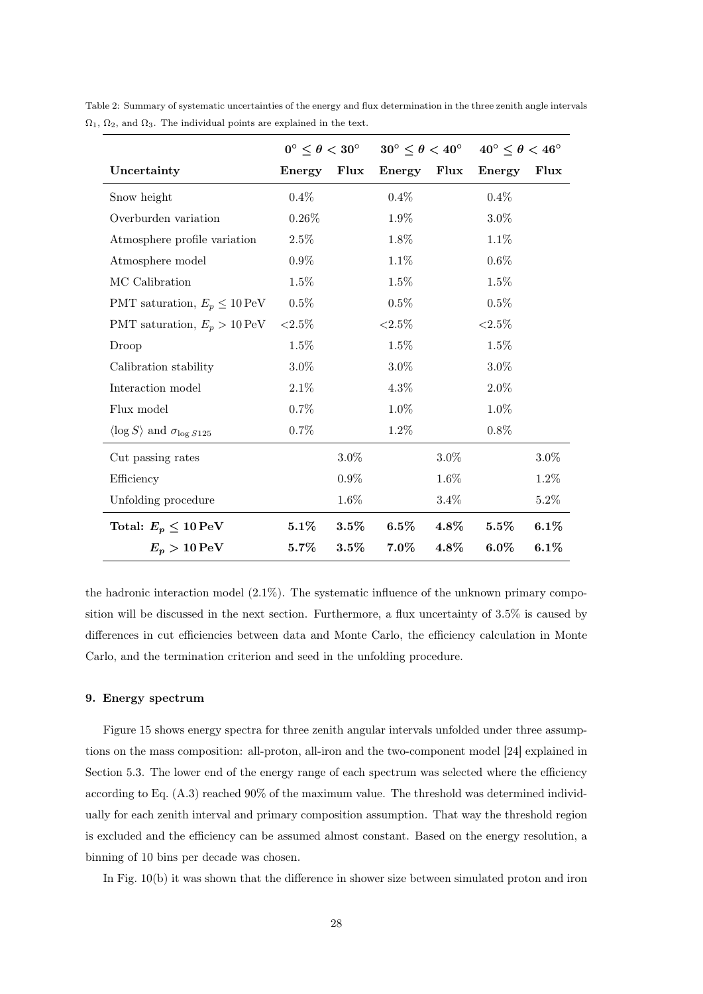|                                                   | $0^{\circ} \leq \theta < 30^{\circ}$ |         | $30^{\circ} \leq \theta < 40^{\circ}$ |         | $40^{\circ} \leq \theta < 46^{\circ}$ |         |
|---------------------------------------------------|--------------------------------------|---------|---------------------------------------|---------|---------------------------------------|---------|
| Uncertainty                                       | Energy                               | Flux    | Energy                                | Flux    | Energy                                | Flux    |
| Snow height                                       | $0.4\%$                              |         | 0.4%                                  |         | 0.4%                                  |         |
| Overburden variation                              | $0.26\%$                             |         | 1.9%                                  |         | 3.0%                                  |         |
| Atmosphere profile variation                      | $2.5\%$                              |         | 1.8%                                  |         | 1.1%                                  |         |
| Atmosphere model                                  | $0.9\%$                              |         | 1.1%                                  |         | 0.6%                                  |         |
| MC Calibration                                    | $1.5\%$                              |         | 1.5%                                  |         | 1.5%                                  |         |
| PMT saturation, $E_p \leq 10 \,\text{PeV}$        | 0.5%                                 |         | 0.5%                                  |         | 0.5%                                  |         |
| PMT saturation, $E_p > 10 \,\text{PeV}$           | ${<}2.5\%$                           |         | ${<}2.5\%$                            |         | ${<}2.5\%$                            |         |
| Droop                                             | 1.5%                                 |         | 1.5%                                  |         | 1.5%                                  |         |
| Calibration stability                             | $3.0\%$                              |         | $3.0\%$                               |         | $3.0\%$                               |         |
| Interaction model                                 | 2.1%                                 |         | 4.3%                                  |         | $2.0\%$                               |         |
| Flux model                                        | $0.7\%$                              |         | 1.0%                                  |         | 1.0%                                  |         |
| $\langle \log S \rangle$ and $\sigma_{\log S125}$ | $0.7\%$                              |         | 1.2%                                  |         | 0.8%                                  |         |
| Cut passing rates                                 |                                      | $3.0\%$ |                                       | $3.0\%$ |                                       | $3.0\%$ |
| Efficiency                                        |                                      | $0.9\%$ |                                       | 1.6%    |                                       | 1.2%    |
| Unfolding procedure                               |                                      | 1.6%    |                                       | 3.4%    |                                       | $5.2\%$ |
| Total: $E_p \leq 10 \,\mathrm{PeV}$               | $5.1\%$                              | $3.5\%$ | $6.5\%$                               | 4.8%    | $5.5\%$                               | 6.1%    |
| $E_p > 10 \,\mathrm{PeV}$                         | $5.7\%$                              | $3.5\%$ | $7.0\%$                               | $4.8\%$ | $6.0\%$                               | 6.1%    |

Table 2: Summary of systematic uncertainties of the energy and flux determination in the three zenith angle intervals  $\Omega_1$ ,  $\Omega_2$ , and  $\Omega_3$ . The individual points are explained in the text.

the hadronic interaction model  $(2.1\%)$ . The systematic influence of the unknown primary composition will be discussed in the next section. Furthermore, a flux uncertainty of 3.5% is caused by differences in cut efficiencies between data and Monte Carlo, the efficiency calculation in Monte Carlo, and the termination criterion and seed in the unfolding procedure.

# 9. Energy spectrum

Figure 15 shows energy spectra for three zenith angular intervals unfolded under three assumptions on the mass composition: all-proton, all-iron and the two-component model [24] explained in Section 5.3. The lower end of the energy range of each spectrum was selected where the efficiency according to Eq. (A.3) reached 90% of the maximum value. The threshold was determined individually for each zenith interval and primary composition assumption. That way the threshold region is excluded and the efficiency can be assumed almost constant. Based on the energy resolution, a binning of 10 bins per decade was chosen.

In Fig. 10(b) it was shown that the difference in shower size between simulated proton and iron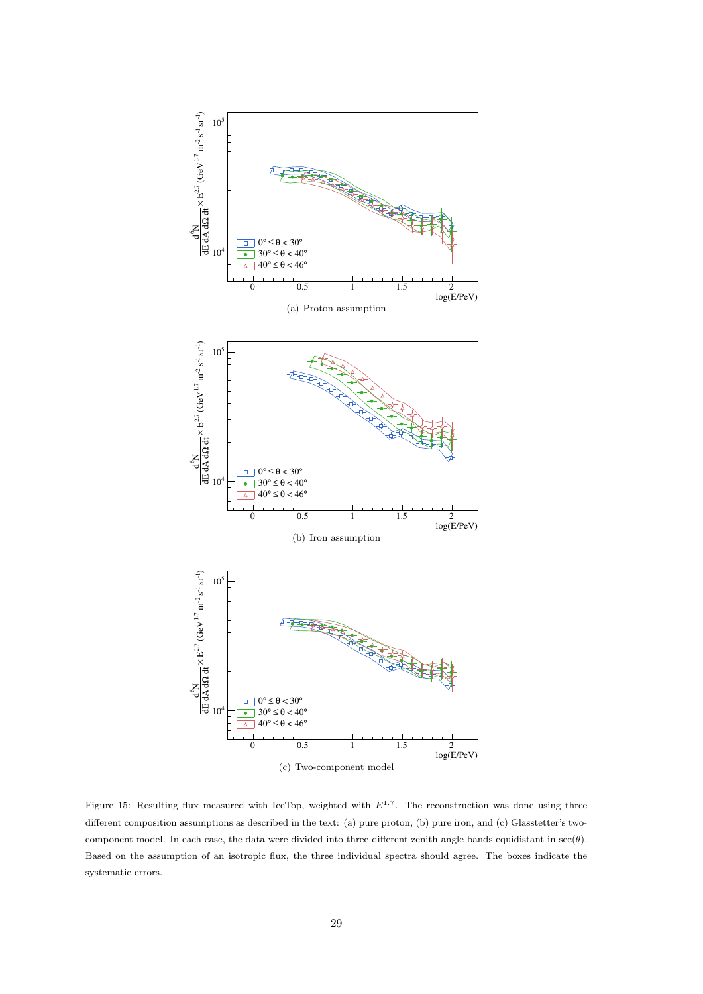

Figure 15: Resulting flux measured with IceTop, weighted with  $E^{1.7}$ . The reconstruction was done using three different composition assumptions as described in the text: (a) pure proton, (b) pure iron, and (c) Glasstetter's twocomponent model. In each case, the data were divided into three different zenith angle bands equidistant in  $\sec(\theta)$ . Based on the assumption of an isotropic flux, the three individual spectra should agree. The boxes indicate the systematic errors.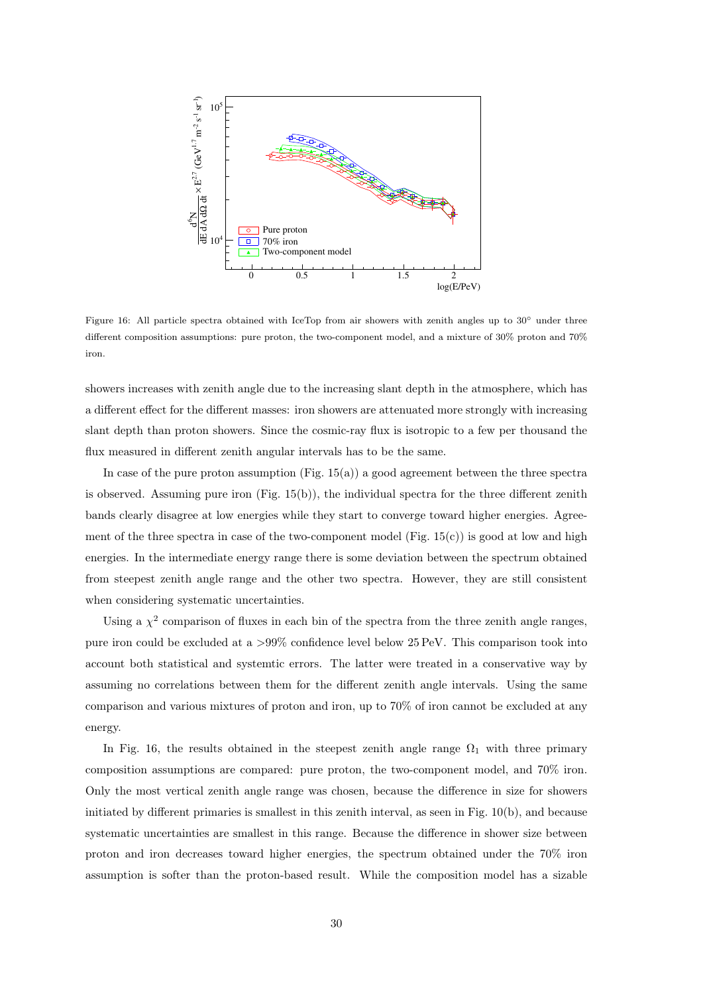

Figure 16: All particle spectra obtained with IceTop from air showers with zenith angles up to 30◦ under three different composition assumptions: pure proton, the two-component model, and a mixture of 30% proton and 70% iron.

showers increases with zenith angle due to the increasing slant depth in the atmosphere, which has a different effect for the different masses: iron showers are attenuated more strongly with increasing slant depth than proton showers. Since the cosmic-ray flux is isotropic to a few per thousand the flux measured in different zenith angular intervals has to be the same.

In case of the pure proton assumption  $(Fig. 15(a))$  a good agreement between the three spectra is observed. Assuming pure iron  $(Fig. 15(b))$ , the individual spectra for the three different zenith bands clearly disagree at low energies while they start to converge toward higher energies. Agreement of the three spectra in case of the two-component model (Fig.  $15(c)$ ) is good at low and high energies. In the intermediate energy range there is some deviation between the spectrum obtained from steepest zenith angle range and the other two spectra. However, they are still consistent when considering systematic uncertainties.

Using a  $\chi^2$  comparison of fluxes in each bin of the spectra from the three zenith angle ranges, pure iron could be excluded at a >99% confidence level below 25 PeV. This comparison took into account both statistical and systemtic errors. The latter were treated in a conservative way by assuming no correlations between them for the different zenith angle intervals. Using the same comparison and various mixtures of proton and iron, up to 70% of iron cannot be excluded at any energy.

In Fig. 16, the results obtained in the steepest zenith angle range  $\Omega_1$  with three primary composition assumptions are compared: pure proton, the two-component model, and 70% iron. Only the most vertical zenith angle range was chosen, because the difference in size for showers initiated by different primaries is smallest in this zenith interval, as seen in Fig. 10(b), and because systematic uncertainties are smallest in this range. Because the difference in shower size between proton and iron decreases toward higher energies, the spectrum obtained under the 70% iron assumption is softer than the proton-based result. While the composition model has a sizable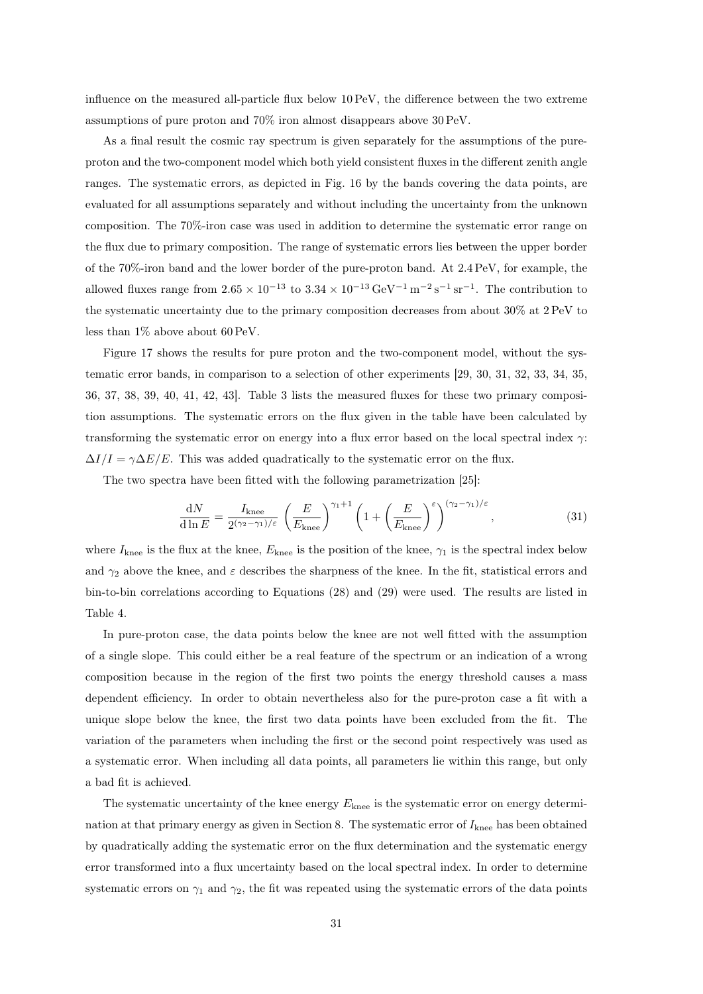influence on the measured all-particle flux below 10 PeV, the difference between the two extreme assumptions of pure proton and 70% iron almost disappears above 30 PeV.

As a final result the cosmic ray spectrum is given separately for the assumptions of the pureproton and the two-component model which both yield consistent fluxes in the different zenith angle ranges. The systematic errors, as depicted in Fig. 16 by the bands covering the data points, are evaluated for all assumptions separately and without including the uncertainty from the unknown composition. The 70%-iron case was used in addition to determine the systematic error range on the flux due to primary composition. The range of systematic errors lies between the upper border of the 70%-iron band and the lower border of the pure-proton band. At 2.4 PeV, for example, the allowed fluxes range from  $2.65 \times 10^{-13}$  to  $3.34 \times 10^{-13}$  GeV<sup>-1</sup> m<sup>-2</sup> s<sup>-1</sup> sr<sup>-1</sup>. The contribution to the systematic uncertainty due to the primary composition decreases from about 30% at 2 PeV to less than 1% above about 60 PeV.

Figure 17 shows the results for pure proton and the two-component model, without the systematic error bands, in comparison to a selection of other experiments [29, 30, 31, 32, 33, 34, 35, 36, 37, 38, 39, 40, 41, 42, 43]. Table 3 lists the measured fluxes for these two primary composition assumptions. The systematic errors on the flux given in the table have been calculated by transforming the systematic error on energy into a flux error based on the local spectral index  $\gamma$ :  $\Delta I/I = \gamma \Delta E/E$ . This was added quadratically to the systematic error on the flux.

The two spectra have been fitted with the following parametrization [25]:

$$
\frac{dN}{d\ln E} = \frac{I_{\text{knee}}}{2^{(\gamma_2 - \gamma_1)/\varepsilon}} \left(\frac{E}{E_{\text{knee}}}\right)^{\gamma_1 + 1} \left(1 + \left(\frac{E}{E_{\text{knee}}}\right)^{\varepsilon}\right)^{(\gamma_2 - \gamma_1)/\varepsilon},\tag{31}
$$

where  $I_{\text{knee}}$  is the flux at the knee,  $E_{\text{knee}}$  is the position of the knee,  $\gamma_1$  is the spectral index below and  $\gamma_2$  above the knee, and  $\varepsilon$  describes the sharpness of the knee. In the fit, statistical errors and bin-to-bin correlations according to Equations (28) and (29) were used. The results are listed in Table 4.

In pure-proton case, the data points below the knee are not well fitted with the assumption of a single slope. This could either be a real feature of the spectrum or an indication of a wrong composition because in the region of the first two points the energy threshold causes a mass dependent efficiency. In order to obtain nevertheless also for the pure-proton case a fit with a unique slope below the knee, the first two data points have been excluded from the fit. The variation of the parameters when including the first or the second point respectively was used as a systematic error. When including all data points, all parameters lie within this range, but only a bad fit is achieved.

The systematic uncertainty of the knee energy  $E_{\text{knee}}$  is the systematic error on energy determination at that primary energy as given in Section 8. The systematic error of  $I_{\text{knee}}$  has been obtained by quadratically adding the systematic error on the flux determination and the systematic energy error transformed into a flux uncertainty based on the local spectral index. In order to determine systematic errors on  $\gamma_1$  and  $\gamma_2$ , the fit was repeated using the systematic errors of the data points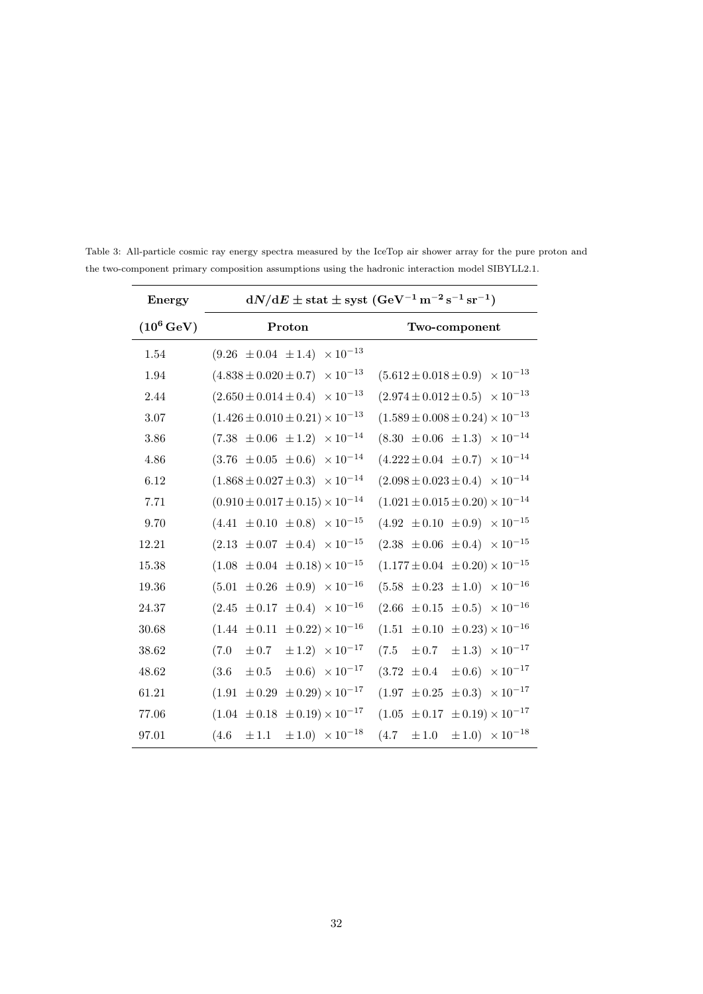| Energy               | $\mathrm{d}N/\mathrm{d}E \pm \mathrm{stat} \pm \mathrm{syst}$ (GeV <sup>-1</sup> m <sup>-2</sup> s <sup>-1</sup> sr <sup>-1</sup> ) |                                                  |  |  |  |
|----------------------|-------------------------------------------------------------------------------------------------------------------------------------|--------------------------------------------------|--|--|--|
| $(10^6\,\text{GeV})$ | Proton                                                                                                                              | Two-component                                    |  |  |  |
| 1.54                 | $(9.26 \pm 0.04 \pm 1.4) \times 10^{-13}$                                                                                           |                                                  |  |  |  |
| 1.94                 | $(4.838 \pm 0.020 \pm 0.7) \times 10^{-13}$                                                                                         | $(5.612 \pm 0.018 \pm 0.9) \times 10^{-13}$      |  |  |  |
| 2.44                 | $(2.650 \pm 0.014 \pm 0.4) \times 10^{-13}$                                                                                         | $(2.974 \pm 0.012 \pm 0.5) \times 10^{-13}$      |  |  |  |
| 3.07                 | $(1.426 \pm 0.010 \pm 0.21) \times 10^{-13}$                                                                                        | $(1.589 \pm 0.008 \pm 0.24) \times 10^{-13}$     |  |  |  |
| 3.86                 | $(7.38 \pm 0.06 \pm 1.2) \times 10^{-14}$                                                                                           | $(8.30 \pm 0.06 \pm 1.3) \times 10^{-14}$        |  |  |  |
| 4.86                 | $(3.76 \pm 0.05 \pm 0.6) \times 10^{-14}$                                                                                           | $(4.222 \pm 0.04 \pm 0.7) \times 10^{-14}$       |  |  |  |
| 6.12                 | $(1.868 \pm 0.027 \pm 0.3) \times 10^{-14}$                                                                                         | $(2.098 \pm 0.023 \pm 0.4) \times 10^{-14}$      |  |  |  |
| 7.71                 | $(0.910 \pm 0.017 \pm 0.15) \times 10^{-14}$                                                                                        | $(1.021 \pm 0.015 \pm 0.20) \times 10^{-14}$     |  |  |  |
| 9.70                 | $(4.41 \pm 0.10 \pm 0.8) \times 10^{-15}$                                                                                           | $(4.92 \pm 0.10 \pm 0.9) \times 10^{-15}$        |  |  |  |
| 12.21                | $(2.13 \pm 0.07 \pm 0.4) \times 10^{-15}$                                                                                           | $(2.38 \pm 0.06 \pm 0.4) \times 10^{-15}$        |  |  |  |
| 15.38                | $(1.08 \pm 0.04 \pm 0.18) \times 10^{-15}$                                                                                          | $(1.177 \pm 0.04 \pm 0.20) \times 10^{-15}$      |  |  |  |
| 19.36                | $(5.01 \pm 0.26 \pm 0.9) \times 10^{-16}$                                                                                           | $(5.58 \pm 0.23 \pm 1.0) \times 10^{-16}$        |  |  |  |
| 24.37                | $(2.45 \pm 0.17 \pm 0.4) \times 10^{-16}$                                                                                           | $(2.66 \pm 0.15 \pm 0.5) \times 10^{-16}$        |  |  |  |
| 30.68                | $(1.44 \pm 0.11 \pm 0.22) \times 10^{-16}$                                                                                          | $(1.51 \pm 0.10 \pm 0.23) \times 10^{-16}$       |  |  |  |
| 38.62                | $\pm 1.2) \times 10^{-17}$<br>(7.0)<br>$\pm 0.7$                                                                                    | $\pm 1.3) \times 10^{-17}$<br>(7.5)<br>$\pm 0.7$ |  |  |  |
| 48.62                | $\pm 0.6) \times 10^{-17}$<br>(3.6)<br>$\pm 0.5$                                                                                    | $\pm 0.6) \times 10^{-17}$<br>$(3.72 \pm 0.4)$   |  |  |  |
| 61.21                | $\pm$ 0.29) $\times$ 10 <sup>-17</sup><br>$(1.91 \pm 0.29)$                                                                         | $(1.97 \pm 0.25 \pm 0.3) \times 10^{-17}$        |  |  |  |
| 77.06                | $(1.04 \pm 0.18 \pm 0.19) \times 10^{-17}$                                                                                          | $(1.05 \pm 0.17 \pm 0.19) \times 10^{-17}$       |  |  |  |
| 97.01                | $\pm 1.0) \times 10^{-18}$<br>(4.6)<br>$\pm 1.1$                                                                                    | $\pm 1.0) \times 10^{-18}$<br>(4.7)<br>$\pm 1.0$ |  |  |  |

Table 3: All-particle cosmic ray energy spectra measured by the IceTop air shower array for the pure proton and the two-component primary composition assumptions using the hadronic interaction model SIBYLL2.1.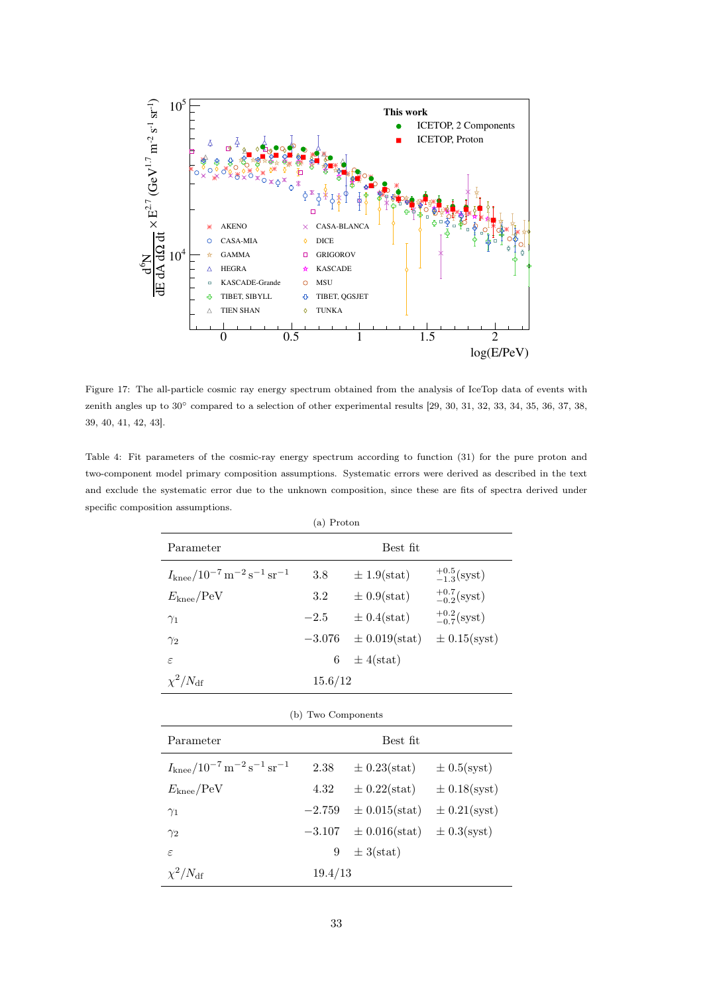

Figure 17: The all-particle cosmic ray energy spectrum obtained from the analysis of IceTop data of events with zenith angles up to 30◦ compared to a selection of other experimental results [29, 30, 31, 32, 33, 34, 35, 36, 37, 38, 39, 40, 41, 42, 43].

Table 4: Fit parameters of the cosmic-ray energy spectrum according to function (31) for the pure proton and two-component model primary composition assumptions. Systematic errors were derived as described in the text and exclude the systematic error due to the unknown composition, since these are fits of spectra derived under specific composition assumptions.

| (a) Proton                                                              |          |                   |                         |  |  |
|-------------------------------------------------------------------------|----------|-------------------|-------------------------|--|--|
| Parameter                                                               | Best fit |                   |                         |  |  |
| $I_{\rm knee}/10^{-7}$ m <sup>-2</sup> s <sup>-1</sup> sr <sup>-1</sup> | 3.8      | $\pm 1.9$ (stat)  | $^{+0.5}_{-1.3}$ (syst) |  |  |
| $E_{\text{knee}}/\text{PeV}$                                            | 3.2      | $\pm 0.9$ (stat)  | $^{+0.7}_{-0.2}$ (syst) |  |  |
| $\gamma_1$                                                              | $-2.5$   | $\pm 0.4$ (stat)  | $^{+0.2}_{-0.7}$ (syst) |  |  |
| $\gamma_2$                                                              | $-3.076$ | $\pm$ 0.019(stat) | $\pm$ 0.15(syst)        |  |  |
| $\varepsilon$                                                           | 6        | $\pm$ 4(stat)     |                         |  |  |
| $\chi^2/N_{\rm df}$                                                     | 15.6/12  |                   |                         |  |  |

| (b) Two Components                                                      |          |                   |                  |  |
|-------------------------------------------------------------------------|----------|-------------------|------------------|--|
| Parameter                                                               | Best fit |                   |                  |  |
| $I_{\rm knee}/10^{-7}$ m <sup>-2</sup> s <sup>-1</sup> sr <sup>-1</sup> | 2.38     | $\pm$ 0.23(stat)  | $\pm 0.5$ (syst) |  |
| $E_{\text{knee}}/\text{PeV}$                                            | 4.32     | $\pm$ 0.22(stat)  | $\pm$ 0.18(syst) |  |
| $\gamma_1$                                                              | $-2.759$ | $\pm$ 0.015(stat) | $\pm$ 0.21(syst) |  |
| $\gamma_2$                                                              | $-3.107$ | $\pm 0.016(stat)$ | $\pm$ 0.3(syst)  |  |
| $\varepsilon$                                                           | 9        | $\pm$ 3(stat)     |                  |  |
| $\chi^2/N_{\rm df}$                                                     | 19.4/13  |                   |                  |  |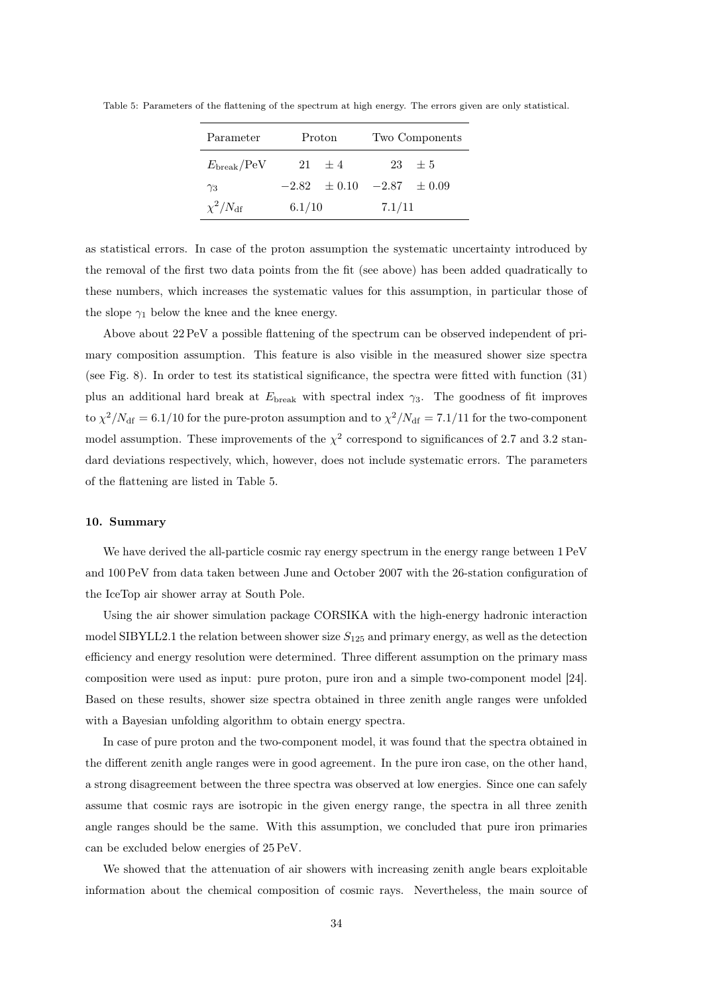| Parameter                  | Proton |                                 | Two Components |            |  |
|----------------------------|--------|---------------------------------|----------------|------------|--|
| $E_{\rm break}/\text{PeV}$ |        | $21 \pm 4$                      |                | $23 \pm 5$ |  |
| $\gamma_3$                 |        | $-2.82 \pm 0.10 -2.87 \pm 0.09$ |                |            |  |
| $\chi^2/N_{\rm df}$        | 6.1/10 |                                 | 7.1/11         |            |  |

Table 5: Parameters of the flattening of the spectrum at high energy. The errors given are only statistical.

as statistical errors. In case of the proton assumption the systematic uncertainty introduced by the removal of the first two data points from the fit (see above) has been added quadratically to these numbers, which increases the systematic values for this assumption, in particular those of the slope  $\gamma_1$  below the knee and the knee energy.

Above about 22 PeV a possible flattening of the spectrum can be observed independent of primary composition assumption. This feature is also visible in the measured shower size spectra (see Fig. 8). In order to test its statistical significance, the spectra were fitted with function (31) plus an additional hard break at  $E_{\text{break}}$  with spectral index  $\gamma_3$ . The goodness of fit improves to  $\chi^2/N_{\rm df} = 6.1/10$  for the pure-proton assumption and to  $\chi^2/N_{\rm df} = 7.1/11$  for the two-component model assumption. These improvements of the  $\chi^2$  correspond to significances of 2.7 and 3.2 standard deviations respectively, which, however, does not include systematic errors. The parameters of the flattening are listed in Table 5.

# 10. Summary

We have derived the all-particle cosmic ray energy spectrum in the energy range between  $1 \text{ PeV}$ and 100 PeV from data taken between June and October 2007 with the 26-station configuration of the IceTop air shower array at South Pole.

Using the air shower simulation package CORSIKA with the high-energy hadronic interaction model SIBYLL2.1 the relation between shower size  $S_{125}$  and primary energy, as well as the detection efficiency and energy resolution were determined. Three different assumption on the primary mass composition were used as input: pure proton, pure iron and a simple two-component model [24]. Based on these results, shower size spectra obtained in three zenith angle ranges were unfolded with a Bayesian unfolding algorithm to obtain energy spectra.

In case of pure proton and the two-component model, it was found that the spectra obtained in the different zenith angle ranges were in good agreement. In the pure iron case, on the other hand, a strong disagreement between the three spectra was observed at low energies. Since one can safely assume that cosmic rays are isotropic in the given energy range, the spectra in all three zenith angle ranges should be the same. With this assumption, we concluded that pure iron primaries can be excluded below energies of 25 PeV.

We showed that the attenuation of air showers with increasing zenith angle bears exploitable information about the chemical composition of cosmic rays. Nevertheless, the main source of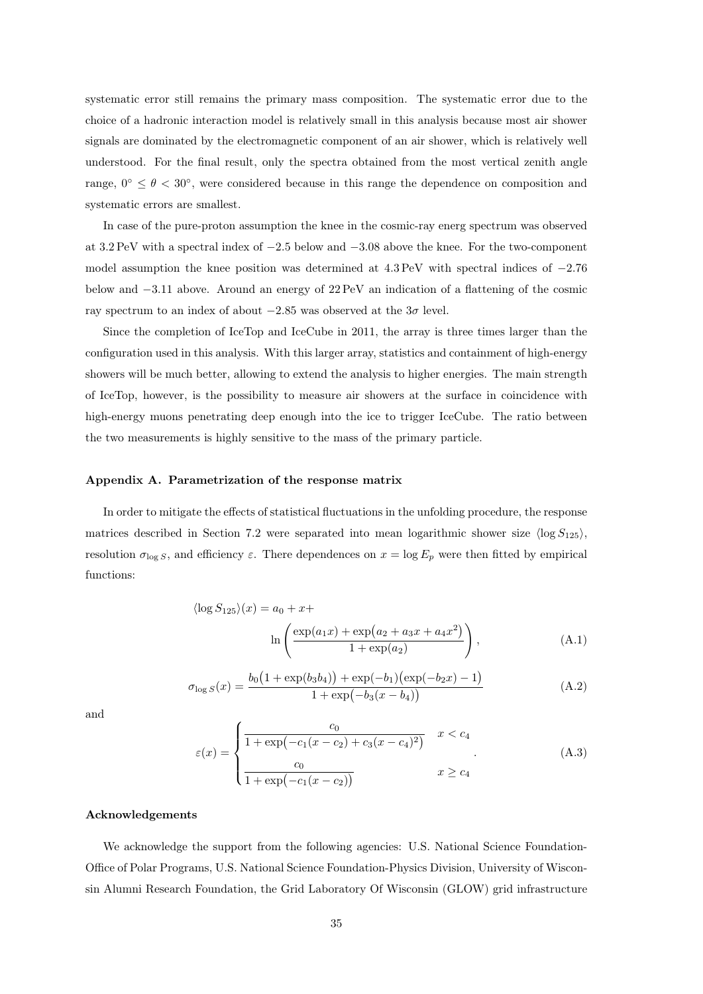systematic error still remains the primary mass composition. The systematic error due to the choice of a hadronic interaction model is relatively small in this analysis because most air shower signals are dominated by the electromagnetic component of an air shower, which is relatively well understood. For the final result, only the spectra obtained from the most vertical zenith angle range,  $0^{\circ} \le \theta < 30^{\circ}$ , were considered because in this range the dependence on composition and systematic errors are smallest.

In case of the pure-proton assumption the knee in the cosmic-ray energ spectrum was observed at 3.2 PeV with a spectral index of −2.5 below and −3.08 above the knee. For the two-component model assumption the knee position was determined at 4.3 PeV with spectral indices of −2.76 below and −3.11 above. Around an energy of 22 PeV an indication of a flattening of the cosmic ray spectrum to an index of about  $-2.85$  was observed at the  $3\sigma$  level.

Since the completion of IceTop and IceCube in 2011, the array is three times larger than the configuration used in this analysis. With this larger array, statistics and containment of high-energy showers will be much better, allowing to extend the analysis to higher energies. The main strength of IceTop, however, is the possibility to measure air showers at the surface in coincidence with high-energy muons penetrating deep enough into the ice to trigger IceCube. The ratio between the two measurements is highly sensitive to the mass of the primary particle.

## Appendix A. Parametrization of the response matrix

In order to mitigate the effects of statistical fluctuations in the unfolding procedure, the response matrices described in Section 7.2 were separated into mean logarithmic shower size  $\langle \log S_{125} \rangle$ , resolution  $\sigma_{\log S}$ , and efficiency  $\varepsilon$ . There dependences on  $x = \log E_p$  were then fitted by empirical functions:

$$
\langle \log S_{125} \rangle (x) = a_0 + x +
$$
  

$$
\ln \left( \frac{\exp(a_1 x) + \exp(a_2 + a_3 x + a_4 x^2)}{1 + \exp(a_2)} \right),
$$
 (A.1)

$$
\sigma_{\log S}(x) = \frac{b_0 \left(1 + \exp(b_3 b_4)\right) + \exp(-b_1)\left(\exp(-b_2 x) - 1\right)}{1 + \exp(-b_3 (x - b_4))}
$$
\n(A.2)

and

$$
\varepsilon(x) = \begin{cases}\n\frac{c_0}{1 + \exp(-c_1(x - c_2) + c_3(x - c_4)^2)} & x < c_4 \\
\frac{c_0}{1 + \exp(-c_1(x - c_2))} & x \ge c_4\n\end{cases}
$$
\n(A.3)

# Acknowledgements

We acknowledge the support from the following agencies: U.S. National Science Foundation-Office of Polar Programs, U.S. National Science Foundation-Physics Division, University of Wisconsin Alumni Research Foundation, the Grid Laboratory Of Wisconsin (GLOW) grid infrastructure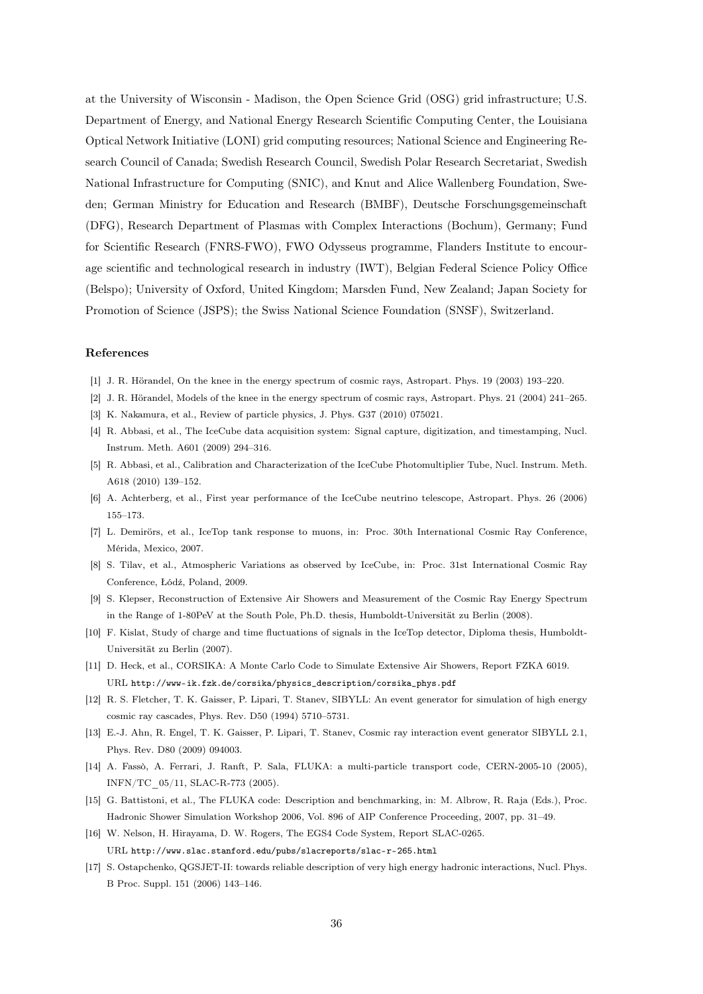at the University of Wisconsin - Madison, the Open Science Grid (OSG) grid infrastructure; U.S. Department of Energy, and National Energy Research Scientific Computing Center, the Louisiana Optical Network Initiative (LONI) grid computing resources; National Science and Engineering Research Council of Canada; Swedish Research Council, Swedish Polar Research Secretariat, Swedish National Infrastructure for Computing (SNIC), and Knut and Alice Wallenberg Foundation, Sweden; German Ministry for Education and Research (BMBF), Deutsche Forschungsgemeinschaft (DFG), Research Department of Plasmas with Complex Interactions (Bochum), Germany; Fund for Scientific Research (FNRS-FWO), FWO Odysseus programme, Flanders Institute to encourage scientific and technological research in industry (IWT), Belgian Federal Science Policy Office (Belspo); University of Oxford, United Kingdom; Marsden Fund, New Zealand; Japan Society for Promotion of Science (JSPS); the Swiss National Science Foundation (SNSF), Switzerland.

# References

- [1] J. R. Hörandel, On the knee in the energy spectrum of cosmic rays, Astropart. Phys. 19 (2003) 193–220.
- [2] J. R. Hörandel, Models of the knee in the energy spectrum of cosmic rays, Astropart. Phys. 21 (2004) 241–265.
- [3] K. Nakamura, et al., Review of particle physics, J. Phys. G37 (2010) 075021.
- [4] R. Abbasi, et al., The IceCube data acquisition system: Signal capture, digitization, and timestamping, Nucl. Instrum. Meth. A601 (2009) 294–316.
- [5] R. Abbasi, et al., Calibration and Characterization of the IceCube Photomultiplier Tube, Nucl. Instrum. Meth. A618 (2010) 139–152.
- [6] A. Achterberg, et al., First year performance of the IceCube neutrino telescope, Astropart. Phys. 26 (2006) 155–173.
- [7] L. Demirörs, et al., IceTop tank response to muons, in: Proc. 30th International Cosmic Ray Conference, Mérida, Mexico, 2007.
- [8] S. Tilav, et al., Atmospheric Variations as observed by IceCube, in: Proc. 31st International Cosmic Ray Conference, Łódź, Poland, 2009.
- [9] S. Klepser, Reconstruction of Extensive Air Showers and Measurement of the Cosmic Ray Energy Spectrum in the Range of 1-80PeV at the South Pole, Ph.D. thesis, Humboldt-Universität zu Berlin (2008).
- [10] F. Kislat, Study of charge and time fluctuations of signals in the IceTop detector, Diploma thesis, Humboldt-Universität zu Berlin (2007).
- [11] D. Heck, et al., CORSIKA: A Monte Carlo Code to Simulate Extensive Air Showers, Report FZKA 6019. URL http://www-ik.fzk.de/corsika/physics\_description/corsika\_phys.pdf
- [12] R. S. Fletcher, T. K. Gaisser, P. Lipari, T. Stanev, SIBYLL: An event generator for simulation of high energy cosmic ray cascades, Phys. Rev. D50 (1994) 5710–5731.
- [13] E.-J. Ahn, R. Engel, T. K. Gaisser, P. Lipari, T. Stanev, Cosmic ray interaction event generator SIBYLL 2.1, Phys. Rev. D80 (2009) 094003.
- [14] A. Fassò, A. Ferrari, J. Ranft, P. Sala, FLUKA: a multi-particle transport code, CERN-2005-10 (2005), INFN/TC\_05/11, SLAC-R-773 (2005).
- [15] G. Battistoni, et al., The FLUKA code: Description and benchmarking, in: M. Albrow, R. Raja (Eds.), Proc. Hadronic Shower Simulation Workshop 2006, Vol. 896 of AIP Conference Proceeding, 2007, pp. 31–49.
- [16] W. Nelson, H. Hirayama, D. W. Rogers, The EGS4 Code System, Report SLAC-0265. URL http://www.slac.stanford.edu/pubs/slacreports/slac-r-265.html
- [17] S. Ostapchenko, QGSJET-II: towards reliable description of very high energy hadronic interactions, Nucl. Phys. B Proc. Suppl. 151 (2006) 143–146.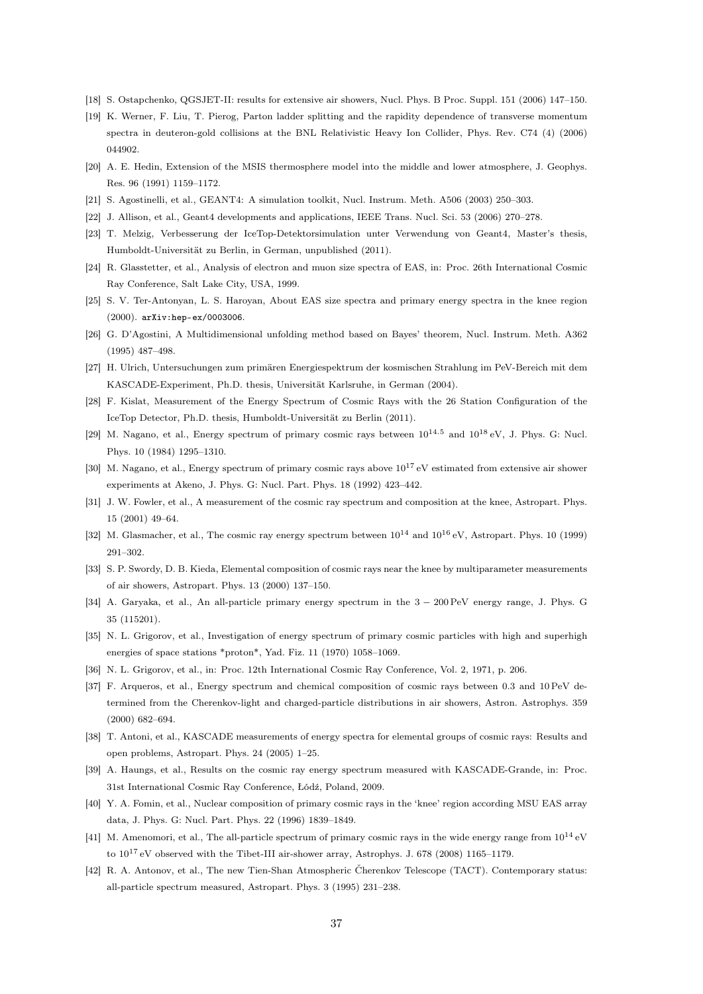- [18] S. Ostapchenko, QGSJET-II: results for extensive air showers, Nucl. Phys. B Proc. Suppl. 151 (2006) 147–150.
- [19] K. Werner, F. Liu, T. Pierog, Parton ladder splitting and the rapidity dependence of transverse momentum spectra in deuteron-gold collisions at the BNL Relativistic Heavy Ion Collider, Phys. Rev. C74 (4) (2006) 044902.
- [20] A. E. Hedin, Extension of the MSIS thermosphere model into the middle and lower atmosphere, J. Geophys. Res. 96 (1991) 1159–1172.
- [21] S. Agostinelli, et al., GEANT4: A simulation toolkit, Nucl. Instrum. Meth. A506 (2003) 250–303.
- [22] J. Allison, et al., Geant4 developments and applications, IEEE Trans. Nucl. Sci. 53 (2006) 270–278.
- [23] T. Melzig, Verbesserung der IceTop-Detektorsimulation unter Verwendung von Geant4, Master's thesis, Humboldt-Universität zu Berlin, in German, unpublished (2011).
- [24] R. Glasstetter, et al., Analysis of electron and muon size spectra of EAS, in: Proc. 26th International Cosmic Ray Conference, Salt Lake City, USA, 1999.
- [25] S. V. Ter-Antonyan, L. S. Haroyan, About EAS size spectra and primary energy spectra in the knee region (2000). arXiv:hep-ex/0003006.
- [26] G. D'Agostini, A Multidimensional unfolding method based on Bayes' theorem, Nucl. Instrum. Meth. A362 (1995) 487–498.
- [27] H. Ulrich, Untersuchungen zum primären Energiespektrum der kosmischen Strahlung im PeV-Bereich mit dem KASCADE-Experiment, Ph.D. thesis, Universität Karlsruhe, in German (2004).
- [28] F. Kislat, Measurement of the Energy Spectrum of Cosmic Rays with the 26 Station Configuration of the IceTop Detector, Ph.D. thesis, Humboldt-Universität zu Berlin (2011).
- [29] M. Nagano, et al., Energy spectrum of primary cosmic rays between  $10^{14.5}$  and  $10^{18}$  eV, J. Phys. G: Nucl. Phys. 10 (1984) 1295–1310.
- [30] M. Nagano, et al., Energy spectrum of primary cosmic rays above 10<sup>17</sup> eV estimated from extensive air shower experiments at Akeno, J. Phys. G: Nucl. Part. Phys. 18 (1992) 423–442.
- [31] J. W. Fowler, et al., A measurement of the cosmic ray spectrum and composition at the knee, Astropart. Phys. 15 (2001) 49–64.
- [32] M. Glasmacher, et al., The cosmic ray energy spectrum between  $10^{14}$  and  $10^{16}$  eV, Astropart. Phys. 10 (1999) 291–302.
- [33] S. P. Swordy, D. B. Kieda, Elemental composition of cosmic rays near the knee by multiparameter measurements of air showers, Astropart. Phys. 13 (2000) 137–150.
- [34] A. Garyaka, et al., An all-particle primary energy spectrum in the 3 − 200 PeV energy range, J. Phys. G 35 (115201).
- [35] N. L. Grigorov, et al., Investigation of energy spectrum of primary cosmic particles with high and superhigh energies of space stations \*proton\*, Yad. Fiz. 11 (1970) 1058–1069.
- [36] N. L. Grigorov, et al., in: Proc. 12th International Cosmic Ray Conference, Vol. 2, 1971, p. 206.
- [37] F. Arqueros, et al., Energy spectrum and chemical composition of cosmic rays between 0.3 and 10 PeV determined from the Cherenkov-light and charged-particle distributions in air showers, Astron. Astrophys. 359 (2000) 682–694.
- [38] T. Antoni, et al., KASCADE measurements of energy spectra for elemental groups of cosmic rays: Results and open problems, Astropart. Phys. 24 (2005) 1–25.
- [39] A. Haungs, et al., Results on the cosmic ray energy spectrum measured with KASCADE-Grande, in: Proc. 31st International Cosmic Ray Conference, Łódź, Poland, 2009.
- [40] Y. A. Fomin, et al., Nuclear composition of primary cosmic rays in the 'knee' region according MSU EAS array data, J. Phys. G: Nucl. Part. Phys. 22 (1996) 1839–1849.
- [41] M. Amenomori, et al., The all-particle spectrum of primary cosmic rays in the wide energy range from  $10^{14}$  eV to  $10^{17}$  eV observed with the Tibet-III air-shower array, Astrophys. J. 678 (2008) 1165–1179.
- [42] R. A. Antonov, et al., The new Tien-Shan Atmospheric Čherenkov Telescope (TACT). Contemporary status: all-particle spectrum measured, Astropart. Phys. 3 (1995) 231–238.